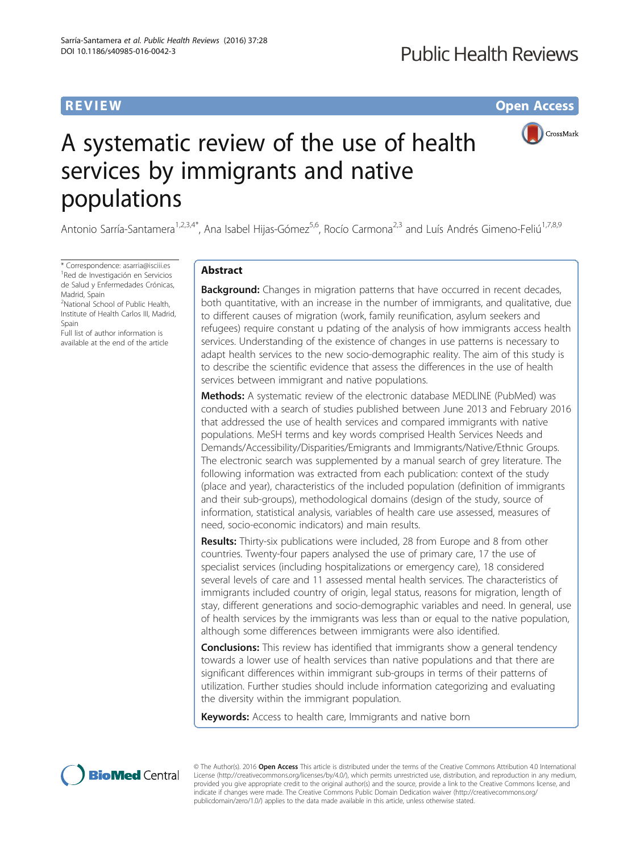# **REVIEW CONTROL** CONTROL CONTROL CONTROL CONTROL CONTROL CONTROL CONTROL CONTROL CONTROL CONTROL CONTROL CONTROL CONTROL CONTROL CONTROL CONTROL CONTROL CONTROL CONTROL CONTROL CONTROL CONTROL CONTROL CONTROL CONTROL CONTR



# A systematic review of the use of health services by immigrants and native populations

Antonio Sarría-Santamera<sup>1,2,3,4\*</sup>, Ana Isabel Hijas-Gómez<sup>5,6</sup>, Rocío Carmona<sup>2,3</sup> and Luís Andrés Gimeno-Feliú<sup>1,7,8,9</sup>

\* Correspondence: [asarria@isciii.es](mailto:asarria@isciii.es) <sup>1</sup> <sup>1</sup>Red de Investigación en Servicios de Salud y Enfermedades Crónicas, Madrid, Spain

<sup>2</sup>National School of Public Health, Institute of Health Carlos III, Madrid, Spain

Full list of author information is available at the end of the article

# Abstract

**Background:** Changes in migration patterns that have occurred in recent decades, both quantitative, with an increase in the number of immigrants, and qualitative, due to different causes of migration (work, family reunification, asylum seekers and refugees) require constant u pdating of the analysis of how immigrants access health services. Understanding of the existence of changes in use patterns is necessary to adapt health services to the new socio-demographic reality. The aim of this study is to describe the scientific evidence that assess the differences in the use of health services between immigrant and native populations.

**Methods:** A systematic review of the electronic database MEDLINE (PubMed) was conducted with a search of studies published between June 2013 and February 2016 that addressed the use of health services and compared immigrants with native populations. MeSH terms and key words comprised Health Services Needs and Demands/Accessibility/Disparities/Emigrants and Immigrants/Native/Ethnic Groups. The electronic search was supplemented by a manual search of grey literature. The following information was extracted from each publication: context of the study (place and year), characteristics of the included population (definition of immigrants and their sub-groups), methodological domains (design of the study, source of information, statistical analysis, variables of health care use assessed, measures of need, socio-economic indicators) and main results.

**Results:** Thirty-six publications were included, 28 from Europe and 8 from other countries. Twenty-four papers analysed the use of primary care, 17 the use of specialist services (including hospitalizations or emergency care), 18 considered several levels of care and 11 assessed mental health services. The characteristics of immigrants included country of origin, legal status, reasons for migration, length of stay, different generations and socio-demographic variables and need. In general, use of health services by the immigrants was less than or equal to the native population, although some differences between immigrants were also identified.

**Conclusions:** This review has identified that immigrants show a general tendency towards a lower use of health services than native populations and that there are significant differences within immigrant sub-groups in terms of their patterns of utilization. Further studies should include information categorizing and evaluating the diversity within the immigrant population.

Keywords: Access to health care, Immigrants and native born



© The Author(s). 2016 Open Access This article is distributed under the terms of the Creative Commons Attribution 4.0 International License ([http://creativecommons.org/licenses/by/4.0/\)](http://creativecommons.org/licenses/by/4.0/), which permits unrestricted use, distribution, and reproduction in any medium, provided you give appropriate credit to the original author(s) and the source, provide a link to the Creative Commons license, and indicate if changes were made. The Creative Commons Public Domain Dedication waiver ([http://creativecommons.org/](http://creativecommons.org/publicdomain/zero/1.0/) [publicdomain/zero/1.0/\)](http://creativecommons.org/publicdomain/zero/1.0/) applies to the data made available in this article, unless otherwise stated.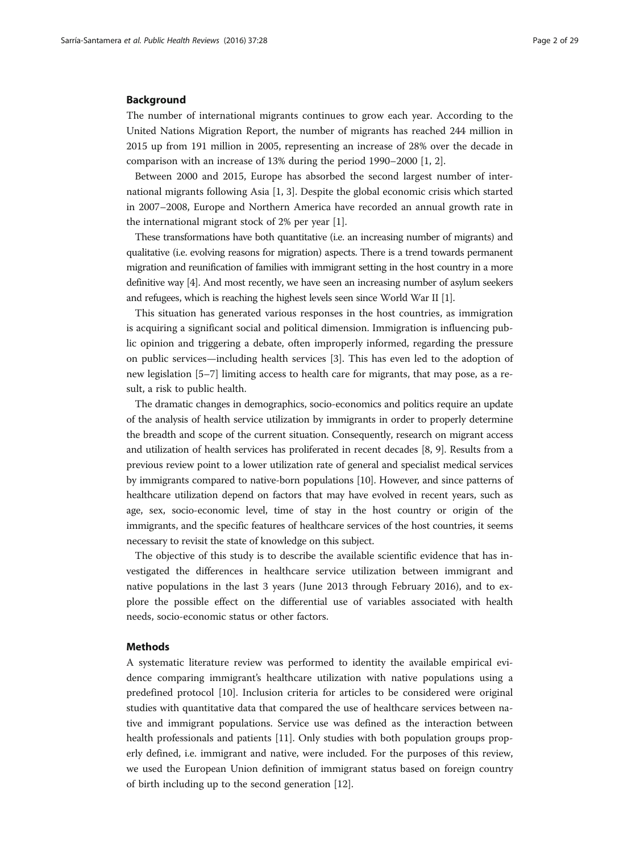#### Background

The number of international migrants continues to grow each year. According to the United Nations Migration Report, the number of migrants has reached 244 million in 2015 up from 191 million in 2005, representing an increase of 28% over the decade in comparison with an increase of 13% during the period 1990–2000 [[1, 2\]](#page-27-0).

Between 2000 and 2015, Europe has absorbed the second largest number of international migrants following Asia [[1, 3\]](#page-27-0). Despite the global economic crisis which started in 2007–2008, Europe and Northern America have recorded an annual growth rate in the international migrant stock of 2% per year [[1\]](#page-27-0).

These transformations have both quantitative (i.e. an increasing number of migrants) and qualitative (i.e. evolving reasons for migration) aspects. There is a trend towards permanent migration and reunification of families with immigrant setting in the host country in a more definitive way [[4\]](#page-27-0). And most recently, we have seen an increasing number of asylum seekers and refugees, which is reaching the highest levels seen since World War II [[1\]](#page-27-0).

This situation has generated various responses in the host countries, as immigration is acquiring a significant social and political dimension. Immigration is influencing public opinion and triggering a debate, often improperly informed, regarding the pressure on public services—including health services [\[3](#page-27-0)]. This has even led to the adoption of new legislation [[5](#page-27-0)–[7](#page-27-0)] limiting access to health care for migrants, that may pose, as a result, a risk to public health.

The dramatic changes in demographics, socio-economics and politics require an update of the analysis of health service utilization by immigrants in order to properly determine the breadth and scope of the current situation. Consequently, research on migrant access and utilization of health services has proliferated in recent decades [\[8](#page-27-0), [9](#page-27-0)]. Results from a previous review point to a lower utilization rate of general and specialist medical services by immigrants compared to native-born populations [\[10\]](#page-27-0). However, and since patterns of healthcare utilization depend on factors that may have evolved in recent years, such as age, sex, socio-economic level, time of stay in the host country or origin of the immigrants, and the specific features of healthcare services of the host countries, it seems necessary to revisit the state of knowledge on this subject.

The objective of this study is to describe the available scientific evidence that has investigated the differences in healthcare service utilization between immigrant and native populations in the last 3 years (June 2013 through February 2016), and to explore the possible effect on the differential use of variables associated with health needs, socio-economic status or other factors.

#### Methods

A systematic literature review was performed to identity the available empirical evidence comparing immigrant's healthcare utilization with native populations using a predefined protocol [[10](#page-27-0)]. Inclusion criteria for articles to be considered were original studies with quantitative data that compared the use of healthcare services between native and immigrant populations. Service use was defined as the interaction between health professionals and patients [\[11](#page-27-0)]. Only studies with both population groups properly defined, i.e. immigrant and native, were included. For the purposes of this review, we used the European Union definition of immigrant status based on foreign country of birth including up to the second generation [[12\]](#page-27-0).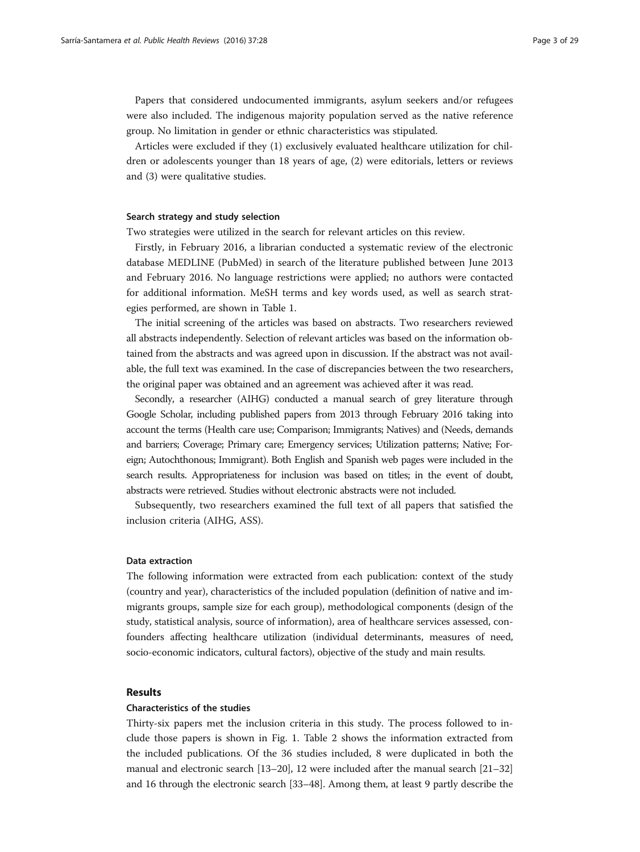Papers that considered undocumented immigrants, asylum seekers and/or refugees were also included. The indigenous majority population served as the native reference group. No limitation in gender or ethnic characteristics was stipulated.

Articles were excluded if they (1) exclusively evaluated healthcare utilization for children or adolescents younger than 18 years of age, (2) were editorials, letters or reviews and (3) were qualitative studies.

#### Search strategy and study selection

Two strategies were utilized in the search for relevant articles on this review.

Firstly, in February 2016, a librarian conducted a systematic review of the electronic database MEDLINE (PubMed) in search of the literature published between June 2013 and February 2016. No language restrictions were applied; no authors were contacted for additional information. MeSH terms and key words used, as well as search strategies performed, are shown in Table [1.](#page-3-0)

The initial screening of the articles was based on abstracts. Two researchers reviewed all abstracts independently. Selection of relevant articles was based on the information obtained from the abstracts and was agreed upon in discussion. If the abstract was not available, the full text was examined. In the case of discrepancies between the two researchers, the original paper was obtained and an agreement was achieved after it was read.

Secondly, a researcher (AIHG) conducted a manual search of grey literature through Google Scholar, including published papers from 2013 through February 2016 taking into account the terms (Health care use; Comparison; Immigrants; Natives) and (Needs, demands and barriers; Coverage; Primary care; Emergency services; Utilization patterns; Native; Foreign; Autochthonous; Immigrant). Both English and Spanish web pages were included in the search results. Appropriateness for inclusion was based on titles; in the event of doubt, abstracts were retrieved. Studies without electronic abstracts were not included.

Subsequently, two researchers examined the full text of all papers that satisfied the inclusion criteria (AIHG, ASS).

#### Data extraction

The following information were extracted from each publication: context of the study (country and year), characteristics of the included population (definition of native and immigrants groups, sample size for each group), methodological components (design of the study, statistical analysis, source of information), area of healthcare services assessed, confounders affecting healthcare utilization (individual determinants, measures of need, socio-economic indicators, cultural factors), objective of the study and main results.

#### Results

#### Characteristics of the studies

Thirty-six papers met the inclusion criteria in this study. The process followed to include those papers is shown in Fig. [1.](#page-3-0) Table [2](#page-4-0) shows the information extracted from the included publications. Of the 36 studies included, 8 were duplicated in both the manual and electronic search [\[13](#page-27-0)–[20](#page-27-0)], 12 were included after the manual search [\[21](#page-27-0)–[32](#page-28-0)] and 16 through the electronic search [\[33](#page-28-0)–[48](#page-28-0)]. Among them, at least 9 partly describe the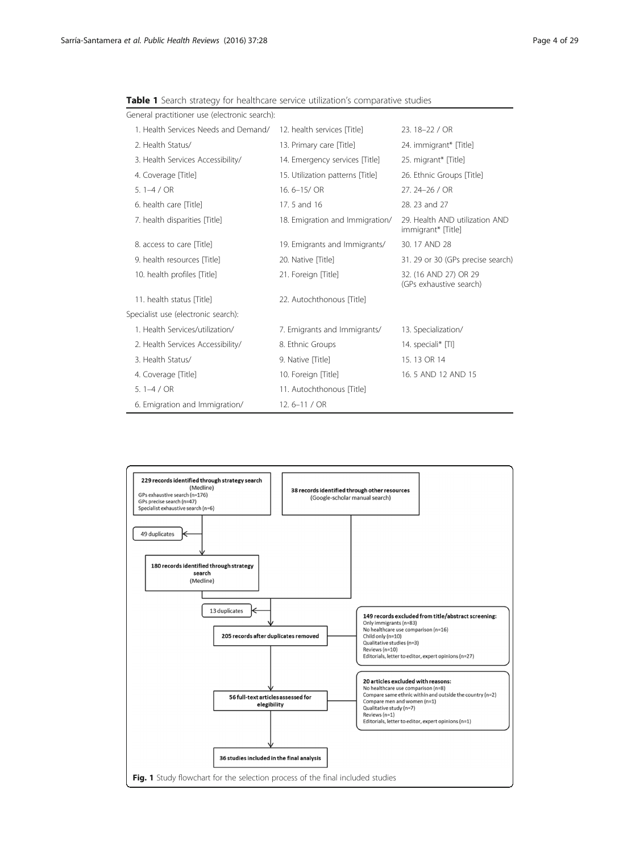| General practitioner use (electronic search): |                                  |                                                      |
|-----------------------------------------------|----------------------------------|------------------------------------------------------|
| 1. Health Services Needs and Demand/          | 12. health services [Title]      | 23. 18-22 / OR                                       |
| 2. Health Status/                             | 13. Primary care [Title]         | 24. immigrant* [Title]                               |
| 3. Health Services Accessibility/             | 14. Emergency services [Title]   | 25. migrant* [Title]                                 |
| 4. Coverage Title]                            | 15. Utilization patterns [Title] | 26. Ethnic Groups [Title]                            |
| 5.1 $-4/OR$                                   | 16.6-15/OR                       | 27.24-26 / OR                                        |
| 6. health care [Title]                        | 17.5 and 16                      | 28, 23 and 27                                        |
| 7. health disparities [Title]                 | 18. Emigration and Immigration/  | 29. Health AND utilization AND<br>immigrant* [Title] |
| 8. access to care [Title]                     | 19. Emigrants and Immigrants/    | 30.17 AND 28                                         |
| 9. health resources [Title]                   | 20. Native [Title]               | 31. 29 or 30 (GPs precise search)                    |
| 10. health profiles [Title]                   | 21. Foreign [Title]              | 32. (16 AND 27) OR 29<br>(GPs exhaustive search)     |
| 11. health status [Title]                     | 22. Autochthonous [Title]        |                                                      |
| Specialist use (electronic search):           |                                  |                                                      |
| 1. Health Services/utilization/               | 7. Emigrants and Immigrants/     | 13. Specialization/                                  |
| 2. Health Services Accessibility/             | 8. Ethnic Groups                 | 14. speciali* [TI]                                   |
| 3. Health Status/                             | 9. Native Title]                 | 15.13 OR 14                                          |
| 4. Coverage [Title]                           | 10. Foreign [Title]              | 16.5 AND 12 AND 15                                   |
| 5.1 $-4/OR$                                   | 11. Autochthonous [Title]        |                                                      |
| 6. Emigration and Immigration/                | 12.6 $-11 / OR$                  |                                                      |

<span id="page-3-0"></span>Table 1 Search strategy for healthcare service utilization's comparative studies

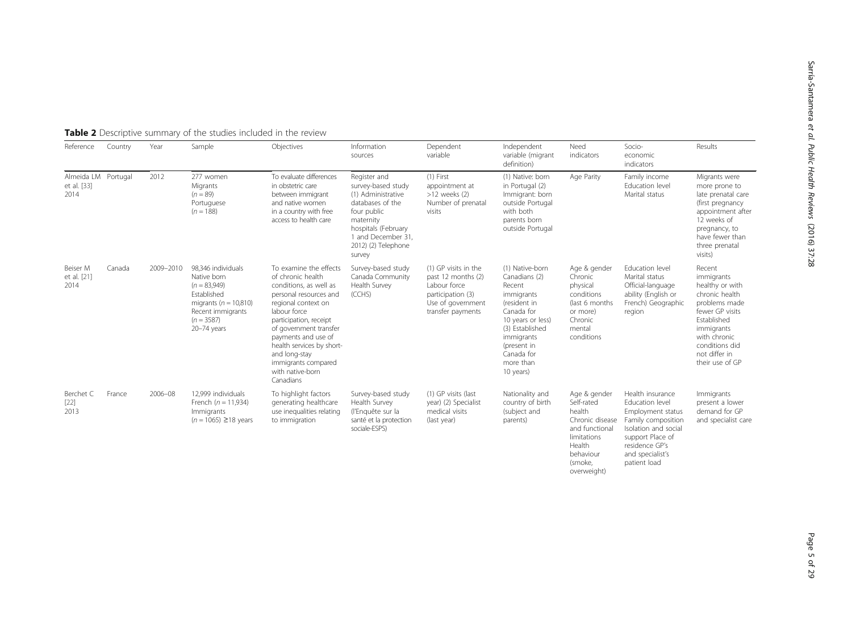| Results                                                                                                                                                                       |
|-------------------------------------------------------------------------------------------------------------------------------------------------------------------------------|
| Migrants were<br>more prone to<br>late prenatal care<br>(first pregnancy<br>appointment after<br>12 weeks of<br>pregnancy, to<br>have fewer than<br>three prenatal<br>visits) |
| Recent                                                                                                                                                                        |

Sarría-Santamera

et al. Public Health Reviews

(2016) 37:28

#### <span id="page-4-0"></span>**Table 2** Descriptive summary of the studies included in the review

2012 277 women

Almeida LM

Reference Country Year Sample Objectives Information

| et al. [33]<br>2014             |        |           | Migrants<br>$(n = 89)$<br>Portuguese<br>$(n = 188)$                                                                                                        | in obstetric care<br>between immigrant<br>and native women<br>in a country with free<br>access to health care                                                                                                                                                                                                           | survey-based study<br>(1) Administrative<br>databases of the<br>four public<br>maternity<br>hospitals (February<br>1 and December 31.<br>2012) (2) Telephone<br>survey | appointment at<br>$>12$ weeks $(2)$<br>Number of prenatal<br>visits                                                       | in Portugal (2)<br>Immigrant: born<br>outside Portugal<br>with both<br>parents born<br>outside Portugal                                                                                             |                                                                                                                     | Education level<br>Marital status                                                                                                            | more prone to<br>late prenatal care<br>(first pregnancy<br>appointment after<br>12 weeks of<br>pregnancy, to<br>have fewer than<br>three prenatal<br>visits)                                     |
|---------------------------------|--------|-----------|------------------------------------------------------------------------------------------------------------------------------------------------------------|-------------------------------------------------------------------------------------------------------------------------------------------------------------------------------------------------------------------------------------------------------------------------------------------------------------------------|------------------------------------------------------------------------------------------------------------------------------------------------------------------------|---------------------------------------------------------------------------------------------------------------------------|-----------------------------------------------------------------------------------------------------------------------------------------------------------------------------------------------------|---------------------------------------------------------------------------------------------------------------------|----------------------------------------------------------------------------------------------------------------------------------------------|--------------------------------------------------------------------------------------------------------------------------------------------------------------------------------------------------|
| Beiser M<br>et al. [21]<br>2014 | Canada | 2009-2010 | 98.346 individuals<br>Native born<br>$(n = 83.949)$<br><b>Fstablished</b><br>migrants ( $n = 10,810$ )<br>Recent immigrants<br>$(n = 3587)$<br>20-74 years | To examine the effects<br>of chronic health<br>conditions, as well as<br>personal resources and<br>regional context on<br>labour force<br>participation, receipt<br>of government transfer<br>payments and use of<br>health services by short-<br>and long-stay<br>immigrants compared<br>with native-born<br>Canadians | Survey-based study<br>Canada Community<br>Health Survey<br>(CCHS)                                                                                                      | (1) GP visits in the<br>past 12 months (2)<br>Labour force<br>participation (3)<br>Use of government<br>transfer payments | (1) Native-born<br>Canadians (2)<br>Recent<br>immigrants<br>(resident in<br>Canada for<br>10 years or less)<br>(3) Established<br>immigrants<br>(present in<br>Canada for<br>more than<br>10 years) | Age & gender<br>Chronic<br>physical<br>conditions<br>(last 6 months)<br>or more)<br>Chronic<br>mental<br>conditions | Education level<br>Marital status<br>Official-language<br>ability (English or<br>French) Geographic<br>region                                | Recent<br>immigrants<br>healthy or with<br>chronic health<br>problems made<br>fewer GP visits<br>Established<br>immigrants<br>with chronic<br>conditions did<br>not differ in<br>their use of GP |
| Berchet C<br>$[22]$<br>2013     | France | 2006-08   | 12.999 individuals<br>French ( $n = 11,934$ )<br>Immigrants<br>$(n = 1065) \ge 18$ years                                                                   | To highlight factors<br>generating healthcare<br>use inequalities relating<br>to immigration                                                                                                                                                                                                                            | Survey-based study<br>Health Survey<br>(l'Enquête sur la<br>santé et la protection<br>sociale-ESPS)                                                                    | (1) GP visits (last<br>year) (2) Specialist<br>medical visits<br>(last year)                                              | Nationality and<br>country of birth<br>(subject and<br>parents)                                                                                                                                     | Age & gender<br>Self-rated<br>health<br>Chronic disease<br>and functional<br>limitations<br>Health                  | Health insurance<br>Education level<br>Employment status<br>Family composition<br>Isolation and social<br>support Place of<br>residence GP's | Immigrants<br>present a lower<br>demand for GP<br>and specialist care                                                                                                                            |

Dependent variable

(1) First

Independent variable (migrant definition)

(1) Native: born

Need indicators

behaviour (smoke, overweight) Socioeconomic indicators

Education level

and specialist's patient load

Age Parity Family income

sources

Register and

To evaluate differences in obstetric care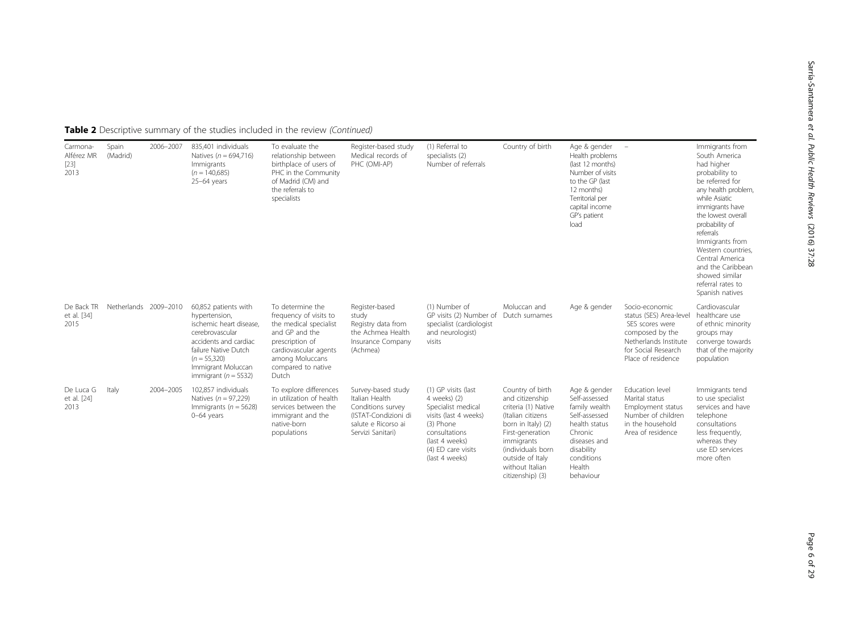| Carmona-<br>Alférez MR<br>$[23]$<br>2013 | Spain<br>(Madrid)     | 2006-2007 | 835.401 individuals<br>Natives ( $n = 694,716$ )<br>Immigrants<br>$(n = 140,685)$<br>$25-64$ years                                                                                                       | To evaluate the<br>relationship between<br>birthplace of users of<br>PHC in the Community<br>of Madrid (CM) and<br>the referrals to<br>specialists                                   | Register-based study<br>Medical records of<br>PHC (OMI-AP)                                                                    | (1) Referral to<br>specialists (2)<br>Number of referrals                                                                                                                  | Country of birth                                                                                                                                                                                                        | Age & gender<br>Health problems<br>(last 12 months)<br>Number of visits<br>to the GP (last<br>12 months)<br>Territorial per<br>capital income<br>GP's patient<br>load | $\overline{\phantom{a}}$                                                                                                                              | Immigrants from<br>South America<br>had higher<br>probability to<br>be referred for<br>any health problem,<br>while Asiatic<br>immigrants have<br>the lowest overall<br>probability of<br>referrals<br>Immigrants from<br>Western countries.<br>Central America<br>and the Caribbean<br>showed similar<br>referral rates to<br>Spanish natives |
|------------------------------------------|-----------------------|-----------|----------------------------------------------------------------------------------------------------------------------------------------------------------------------------------------------------------|--------------------------------------------------------------------------------------------------------------------------------------------------------------------------------------|-------------------------------------------------------------------------------------------------------------------------------|----------------------------------------------------------------------------------------------------------------------------------------------------------------------------|-------------------------------------------------------------------------------------------------------------------------------------------------------------------------------------------------------------------------|-----------------------------------------------------------------------------------------------------------------------------------------------------------------------|-------------------------------------------------------------------------------------------------------------------------------------------------------|------------------------------------------------------------------------------------------------------------------------------------------------------------------------------------------------------------------------------------------------------------------------------------------------------------------------------------------------|
| De Back TR<br>et al. [34]<br>2015        | Netherlands 2009-2010 |           | 60,852 patients with<br>hypertension,<br>ischemic heart disease.<br>cerebrovascular<br>accidents and cardiac<br>failure Native Dutch<br>$(n = 55,320)$<br>Immigrant Moluccan<br>immigrant ( $n = 5532$ ) | To determine the<br>frequency of visits to<br>the medical specialist<br>and GP and the<br>prescription of<br>cardiovascular agents<br>among Moluccans<br>compared to native<br>Dutch | Register-based<br>study<br>Registry data from<br>the Achmea Health<br>Insurance Company<br>(Achmea)                           | (1) Number of<br>GP visits (2) Number of<br>specialist (cardiologist<br>and neurologist)<br>visits                                                                         | Moluccan and<br>Dutch surnames                                                                                                                                                                                          | Age & gender                                                                                                                                                          | Socio-economic<br>status (SES) Area-level<br>SES scores were<br>composed by the<br>Netherlands Institute<br>for Social Research<br>Place of residence | Cardiovascular<br>healthcare use<br>of ethnic minority<br>groups may<br>converge towards<br>that of the majority<br>population                                                                                                                                                                                                                 |
| De Luca G<br>et al. [24]<br>2013         | Italy                 | 2004-2005 | 102.857 individuals<br>Natives ( $n = 97,229$ )<br>Immigrants ( $n = 5628$ )<br>$0-64$ years                                                                                                             | To explore differences<br>in utilization of health<br>services between the<br>immigrant and the<br>native-born<br>populations                                                        | Survey-based study<br>Italian Health<br>Conditions survey<br>(ISTAT-Condizioni di<br>salute e Ricorso ai<br>Servizi Sanitari) | (1) GP visits (last<br>4 weeks) (2)<br>Specialist medical<br>visits (last 4 weeks)<br>(3) Phone<br>consultations<br>(last 4 weeks)<br>(4) ED care visits<br>(last 4 weeks) | Country of birth<br>and citizenship<br>criteria (1) Native<br>(Italian citizens<br>born in Italy) (2)<br>First-generation<br>immigrants<br>(individuals born<br>outside of Italy<br>without Italian<br>citizenship) (3) | Age & gender<br>Self-assessed<br>family wealth<br>Self-assessed<br>health status<br>Chronic<br>diseases and<br>disability<br>conditions<br>Health<br>behaviour        | Education level<br>Marital status<br>Employment status<br>Number of children<br>in the household<br>Area of residence                                 | Immigrants tend<br>to use specialist<br>services and have<br>telephone<br>consultations<br>less frequently,<br>whereas they<br>use ED services<br>more often                                                                                                                                                                                   |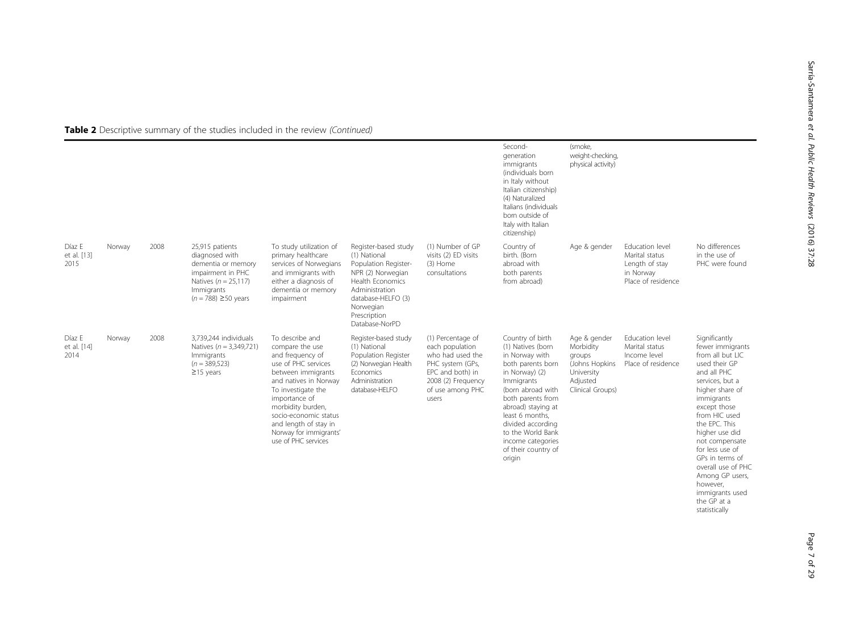|                               |        |      |                                                                                                                                                    |                                                                                                                                                                                                                                                                                             |                                                                                                                                                                                              |                                                                                                                                                     | Second-<br>generation<br>immigrants<br>(individuals born<br>in Italy without<br>Italian citizenship)<br>(4) Naturalized<br>Italians (individuals<br>born outside of<br>Italy with Italian<br>citizenship)                                                                                       | (smoke,<br>weight-checking,<br>physical activity)                                                   |                                                                                        |                                                                                                                                                                                                                                                                                                                            |
|-------------------------------|--------|------|----------------------------------------------------------------------------------------------------------------------------------------------------|---------------------------------------------------------------------------------------------------------------------------------------------------------------------------------------------------------------------------------------------------------------------------------------------|----------------------------------------------------------------------------------------------------------------------------------------------------------------------------------------------|-----------------------------------------------------------------------------------------------------------------------------------------------------|-------------------------------------------------------------------------------------------------------------------------------------------------------------------------------------------------------------------------------------------------------------------------------------------------|-----------------------------------------------------------------------------------------------------|----------------------------------------------------------------------------------------|----------------------------------------------------------------------------------------------------------------------------------------------------------------------------------------------------------------------------------------------------------------------------------------------------------------------------|
| Díaz E<br>et al. [13]<br>2015 | Norway | 2008 | 25,915 patients<br>diagnosed with<br>dementia or memory<br>impairment in PHC<br>Natives ( $n = 25,117$ )<br>Immigrants<br>$(n = 788) \ge 50$ years | To study utilization of<br>primary healthcare<br>services of Norwegians<br>and immigrants with<br>either a diagnosis of<br>dementia or memory<br>impairment                                                                                                                                 | Register-based study<br>(1) National<br>Population Register-<br>NPR (2) Norwegian<br>Health Economics<br>Administration<br>database-HELFO (3)<br>Norwegian<br>Prescription<br>Database-NorPD | (1) Number of GP<br>visits (2) ED visits<br>(3) Home<br>consultations                                                                               | Country of<br>birth. (Born<br>abroad with<br>both parents<br>from abroad)                                                                                                                                                                                                                       | Age & gender                                                                                        | Education level<br>Marital status<br>Length of stay<br>in Norway<br>Place of residence | No differences<br>in the use of<br>PHC were found                                                                                                                                                                                                                                                                          |
| Díaz E<br>et al. [14]<br>2014 | Norway | 2008 | 3.739.244 individuals<br>Natives ( $n = 3,349,721$ )<br>Immigrants<br>$(n = 389, 523)$<br>$\geq$ 15 years                                          | To describe and<br>compare the use<br>and frequency of<br>use of PHC services<br>between immigrants<br>and natives in Norway<br>To investigate the<br>importance of<br>morbidity burden,<br>socio-economic status<br>and length of stay in<br>Norway for immigrants'<br>use of PHC services | Register-based study<br>(1) National<br>Population Register<br>(2) Norwegian Health<br>Economics<br>Administration<br>database-HELFO                                                         | (1) Percentage of<br>each population<br>who had used the<br>PHC system (GPs,<br>EPC and both) in<br>2008 (2) Frequency<br>of use among PHC<br>users | Country of birth<br>(1) Natives (born<br>in Norway with<br>both parents born<br>in Norway) (2)<br>Immigrants<br>(born abroad with<br>both parents from<br>abroad) staying at<br>least 6 months,<br>divided according<br>to the World Bank<br>income categories<br>of their country of<br>origin | Age & gender<br>Morbidity<br>groups<br>(Johns Hopkins<br>University<br>Adjusted<br>Clinical Groups) | Education level<br>Marital status<br>Income level<br>Place of residence                | Significantly<br>fewer immigrants<br>from all but LIC<br>used their GP<br>and all PHC<br>services, but a<br>higher share of<br>immigrants<br>except those<br>from HIC used<br>the EPC. This<br>higher use did<br>not compensate<br>for less use of<br>GPs in terms of<br>overall use of PHC<br>Among GP users,<br>however, |

however, immigrants used the GP at a statistically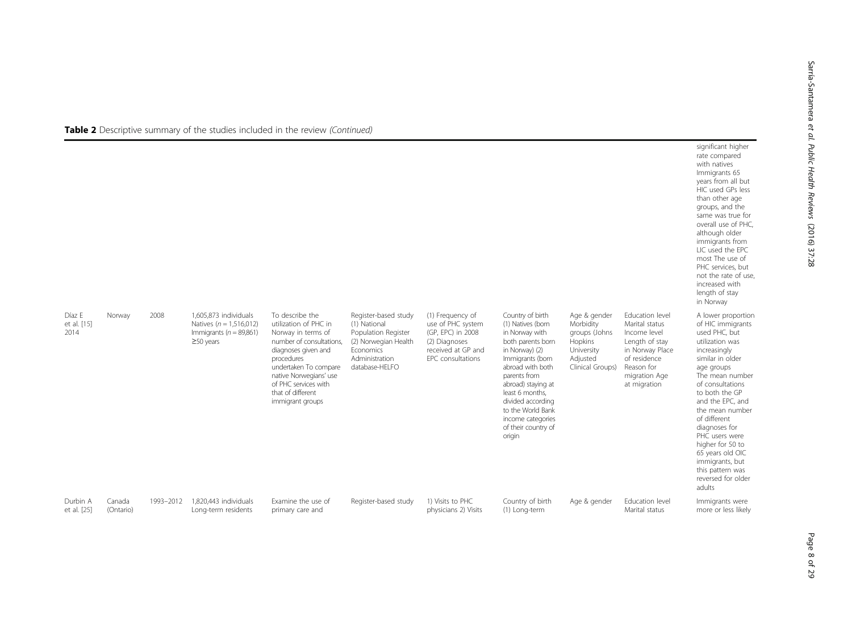|                               |                     |           |                                                                                                        |                                                                                                                                                                                                                                                     |                                                                                                                                      |                                                                                                                        |                                                                                                                                                                                                                                                                                                 |                                                                                                     |                                                                                                                                                       | significant higher<br>rate compared<br>with natives<br>Immigrants 65<br>years from all but<br>HIC used GPs less<br>than other age<br>groups, and the<br>same was true for<br>overall use of PHC,<br>although older<br>immigrants from<br>LIC used the EPC<br>most The use of<br>PHC services, but<br>not the rate of use,<br>increased with<br>length of stay<br>in Norway                      |
|-------------------------------|---------------------|-----------|--------------------------------------------------------------------------------------------------------|-----------------------------------------------------------------------------------------------------------------------------------------------------------------------------------------------------------------------------------------------------|--------------------------------------------------------------------------------------------------------------------------------------|------------------------------------------------------------------------------------------------------------------------|-------------------------------------------------------------------------------------------------------------------------------------------------------------------------------------------------------------------------------------------------------------------------------------------------|-----------------------------------------------------------------------------------------------------|-------------------------------------------------------------------------------------------------------------------------------------------------------|-------------------------------------------------------------------------------------------------------------------------------------------------------------------------------------------------------------------------------------------------------------------------------------------------------------------------------------------------------------------------------------------------|
| Díaz E<br>et al. [15]<br>2014 | Norway              | 2008      | 1.605.873 individuals<br>Natives ( $n = 1.516,012$ )<br>Immigrants ( $n = 89,861$ )<br>$\geq$ 50 years | To describe the<br>utilization of PHC in<br>Norway in terms of<br>number of consultations.<br>diagnoses given and<br>procedures<br>undertaken To compare<br>native Norwegians' use<br>of PHC services with<br>that of different<br>immigrant groups | Register-based study<br>(1) National<br>Population Register<br>(2) Norwegian Health<br>Economics<br>Administration<br>database-HELFO | (1) Frequency of<br>use of PHC system<br>(GP, EPC) in 2008<br>(2) Diagnoses<br>received at GP and<br>EPC consultations | Country of birth<br>(1) Natives (born<br>in Norway with<br>both parents born<br>in Norway) (2)<br>Immigrants (born<br>abroad with both<br>parents from<br>abroad) staying at<br>least 6 months.<br>divided according<br>to the World Bank<br>income categories<br>of their country of<br>origin | Age & gender<br>Morbidity<br>groups (Johns<br>Hopkins<br>University<br>Adjusted<br>Clinical Groups) | Education level<br>Marital status<br>Income level<br>Length of stay<br>in Norway Place<br>of residence<br>Reason for<br>migration Age<br>at migration | A lower proportion<br>of HIC immigrants<br>used PHC, but<br>utilization was<br>increasingly<br>similar in older<br>age groups<br>The mean number<br>of consultations<br>to both the GP<br>and the EPC, and<br>the mean number<br>of different<br>diagnoses for<br>PHC users were<br>higher for 50 to<br>65 years old OIC<br>immigrants, but<br>this pattern was<br>reversed for older<br>adults |
| Durbin A<br>et al. [25]       | Canada<br>(Ontario) | 1993-2012 | 1,820,443 individuals<br>Long-term residents                                                           | Examine the use of<br>primary care and                                                                                                                                                                                                              | Register-based study                                                                                                                 | 1) Visits to PHC<br>physicians 2) Visits                                                                               | Country of birth<br>(1) Long-term                                                                                                                                                                                                                                                               | Age & gender                                                                                        | Education level<br>Marital status                                                                                                                     | Immigrants were<br>more or less likely                                                                                                                                                                                                                                                                                                                                                          |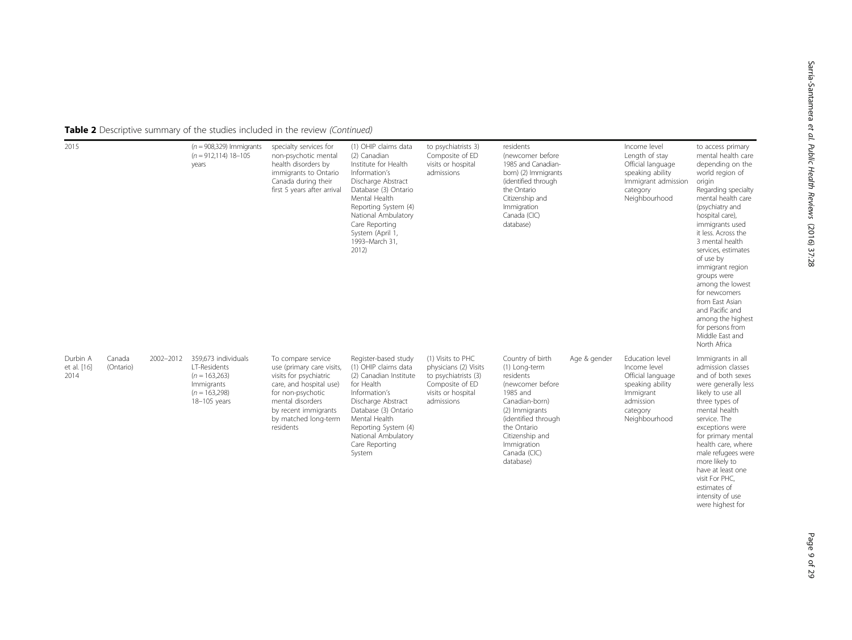| 2015                            |                     |           | $(n = 908,329)$ Immigrants<br>$(n = 912, 114)$ 18-105<br>years                                          | specialty services for<br>non-psychotic mental<br>health disorders by<br>immigrants to Ontario<br>Canada during their<br>first 5 years after arrival                                                       | (1) OHIP claims data<br>(2) Canadian<br>Institute for Health<br>Information's<br>Discharge Abstract<br>Database (3) Ontario<br>Mental Health<br>Reporting System (4)<br>National Ambulatory<br>Care Reporting<br>System (April 1,<br>1993-March 31,<br>2012) | to psychiatrists 3)<br>Composite of ED<br>visits or hospital<br>admissions                                                | residents<br>(newcomer before<br>1985 and Canadian-<br>born) (2) Immigrants<br>(identified through<br>the Ontario<br>Citizenship and<br>Immigration<br>Canada (CIC)<br>database)                                        |              | Income level<br>Length of stay<br>Official language<br>speaking ability<br>Immigrant admission<br>category<br>Neighbourhood     | to access primary<br>mental health care<br>depending on the<br>world region of<br>origin<br>Regarding specialty<br>mental health care<br>(psychiatry and<br>hospital care),<br>immigrants used<br>it less. Across the<br>3 mental health<br>services, estimates<br>of use by<br>immigrant region<br>groups were<br>among the lowest<br>for newcomers<br>from East Asian<br>and Pacific and<br>among the highest<br>for persons from<br>Middle East and |
|---------------------------------|---------------------|-----------|---------------------------------------------------------------------------------------------------------|------------------------------------------------------------------------------------------------------------------------------------------------------------------------------------------------------------|--------------------------------------------------------------------------------------------------------------------------------------------------------------------------------------------------------------------------------------------------------------|---------------------------------------------------------------------------------------------------------------------------|-------------------------------------------------------------------------------------------------------------------------------------------------------------------------------------------------------------------------|--------------|---------------------------------------------------------------------------------------------------------------------------------|--------------------------------------------------------------------------------------------------------------------------------------------------------------------------------------------------------------------------------------------------------------------------------------------------------------------------------------------------------------------------------------------------------------------------------------------------------|
| Durbin A<br>et al. [16]<br>2014 | Canada<br>(Ontario) | 2002-2012 | 359.673 individuals<br>LT-Residents<br>$(n = 163,263)$<br>Immigrants<br>$(n = 163.298)$<br>18-105 years | To compare service<br>use (primary care visits,<br>visits for psychiatric<br>care, and hospital use)<br>for non-psychotic<br>mental disorders<br>by recent immigrants<br>by matched long-term<br>residents | Register-based study<br>(1) OHIP claims data<br>(2) Canadian Institute<br>for Health<br>Information's<br>Discharge Abstract<br>Database (3) Ontario<br>Mental Health<br>Reporting System (4)<br>National Ambulatory<br>Care Reporting<br>System              | (1) Visits to PHC<br>physicians (2) Visits<br>to psychiatrists (3)<br>Composite of ED<br>visits or hospital<br>admissions | Country of birth<br>(1) Long-term<br>residents<br>(newcomer before<br>1985 and<br>Canadian-born)<br>(2) Immigrants<br>(identified through<br>the Ontario<br>Citizenship and<br>Immigration<br>Canada (CIC)<br>database) | Age & gender | Education level<br>Income level<br>Official language<br>speaking ability<br>Immigrant<br>admission<br>category<br>Neighbourhood | North Africa<br>Immigrants in all<br>admission classes<br>and of both sexes<br>were generally less<br>likely to use all<br>three types of<br>mental health<br>service. The<br>exceptions were<br>for primary mental<br>health care, where<br>male refugees were<br>more likely to<br>have at least one<br>visit For PHC,<br>estimates of<br>intensity of use<br>were highest for                                                                       |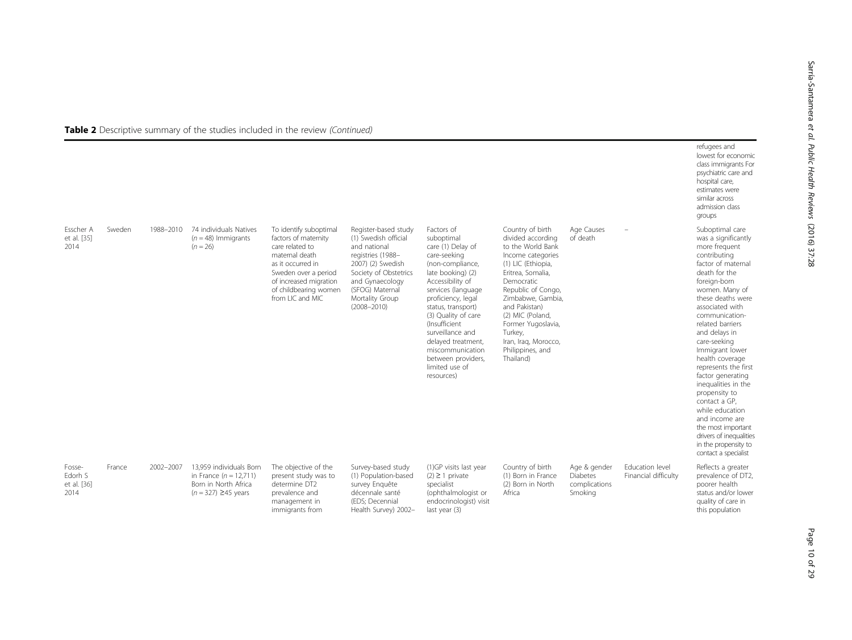|                                          |        |           |                                                                                                        |                                                                                                                                                                                                         |                                                                                                                                                                                                             |                                                                                                                                                                                                                                                                                                                                                                  |                                                                                                                                                                                                                                                                                                                    |                                                      |                                         | refugees and<br>lowest for economic<br>class immigrants For<br>psychiatric care and<br>hospital care,<br>estimates were<br>similar across<br>admission class<br>groups                                                                                                                                                                                                                                                                                                                                                                            |
|------------------------------------------|--------|-----------|--------------------------------------------------------------------------------------------------------|---------------------------------------------------------------------------------------------------------------------------------------------------------------------------------------------------------|-------------------------------------------------------------------------------------------------------------------------------------------------------------------------------------------------------------|------------------------------------------------------------------------------------------------------------------------------------------------------------------------------------------------------------------------------------------------------------------------------------------------------------------------------------------------------------------|--------------------------------------------------------------------------------------------------------------------------------------------------------------------------------------------------------------------------------------------------------------------------------------------------------------------|------------------------------------------------------|-----------------------------------------|---------------------------------------------------------------------------------------------------------------------------------------------------------------------------------------------------------------------------------------------------------------------------------------------------------------------------------------------------------------------------------------------------------------------------------------------------------------------------------------------------------------------------------------------------|
| Esscher A<br>et al. [35]<br>2014         | Sweden | 1988-2010 | 74 individuals Natives<br>$(n = 48)$ Immigrants<br>$(n = 26)$                                          | To identify suboptimal<br>factors of maternity<br>care related to<br>maternal death<br>as it occurred in<br>Sweden over a period<br>of increased migration<br>of childbearing women<br>from LIC and MIC | Register-based study<br>(1) Swedish official<br>and national<br>registries (1988-<br>2007) (2) Swedish<br>Society of Obstetrics<br>and Gynaecology<br>(SFOG) Maternal<br>Mortality Group<br>$(2008 - 2010)$ | Factors of<br>suboptimal<br>care (1) Delay of<br>care-seeking<br>(non-compliance,<br>late booking) (2)<br>Accessibility of<br>services (language<br>proficiency, legal<br>status, transport)<br>(3) Quality of care<br><i>(Insufficient)</i><br>surveillance and<br>delayed treatment,<br>miscommunication<br>between providers,<br>limited use of<br>resources) | Country of birth<br>divided according<br>to the World Bank<br>Income categories<br>(1) LIC (Ethiopia,<br>Eritrea, Somalia,<br>Democratic<br>Republic of Congo,<br>Zimbabwe, Gambia,<br>and Pakistan)<br>(2) MIC (Poland,<br>Former Yugoslavia,<br>Turkey,<br>Iran, Iraq, Morocco,<br>Philippines, and<br>Thailand) | Age Causes<br>of death                               |                                         | Suboptimal care<br>was a significantly<br>more frequent<br>contributing<br>factor of maternal<br>death for the<br>foreign-born<br>women. Many of<br>these deaths were<br>associated with<br>communication-<br>related barriers<br>and delays in<br>care-seeking<br>Immigrant lower<br>health coverage<br>represents the first<br>factor generating<br>inequalities in the<br>propensity to<br>contact a GP,<br>while education<br>and income are<br>the most important<br>drivers of inequalities<br>in the propensity to<br>contact a specialist |
| Fosse-<br>Edorh S<br>et al. [36]<br>2014 | France | 2002-2007 | 13.959 individuals Born<br>in France ( $n = 12,711$ )<br>Born in North Africa<br>$(n = 327)$ ≥45 years | The objective of the<br>present study was to<br>determine DT2<br>prevalence and<br>management in<br>immigrants from                                                                                     | Survey-based study<br>(1) Population-based<br>survey Enquête<br>décennale santé<br>(EDS; Decennial<br>Health Survey) 2002-                                                                                  | (1)GP visits last year<br>$(2) \ge 1$ private<br>specialist<br>(ophthalmologist or<br>endocrinologist) visit<br>last year (3)                                                                                                                                                                                                                                    | Country of birth<br>(1) Born in France<br>(2) Born in North<br>Africa                                                                                                                                                                                                                                              | Age & gender<br>Diabetes<br>complications<br>Smoking | Education level<br>Financial difficulty | Reflects a greater<br>prevalence of DT2,<br>poorer health<br>status and/or lower<br>quality of care in<br>this population                                                                                                                                                                                                                                                                                                                                                                                                                         |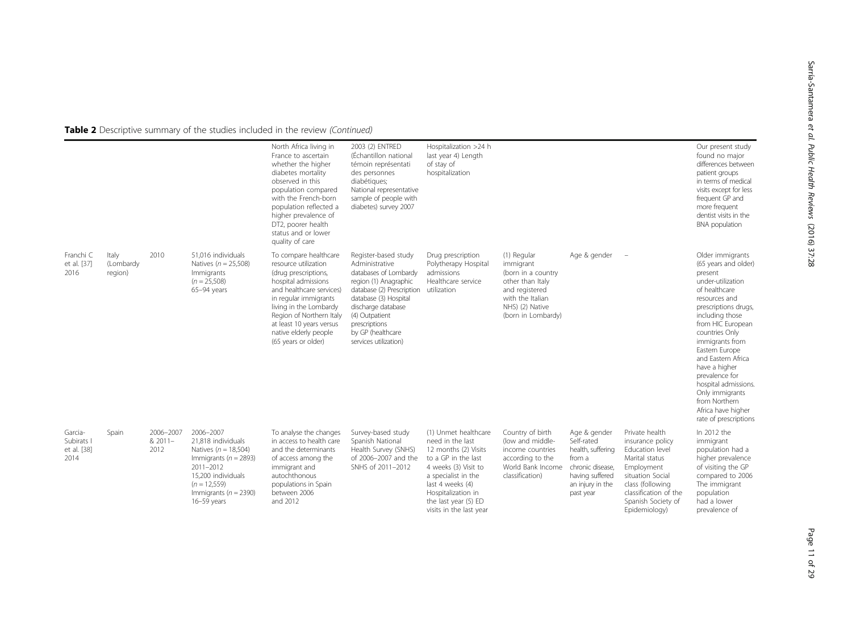|                                              |                               |                              |                                                                                                                                                                                           | North Africa living in<br>France to ascertain<br>whether the higher<br>diabetes mortality<br>observed in this<br>population compared<br>with the French-born<br>population reflected a<br>higher prevalence of<br>DT2, poorer health<br>status and or lower<br>quality of care      | 2003 (2) ENTRED<br>(Échantillon national<br>témoin représentati<br>des personnes<br>diabétiques;<br>National representative<br>sample of people with<br>diabetes) survey 2007                                                                         | Hospitalization >24 h<br>last year 4) Length<br>of stay of<br>hospitalization                                                                                                                                                       |                                                                                                                                                   |                                                                                                                                   |                                                                                                                                                                                               | Our present study<br>found no major<br>differences between<br>patient groups<br>in terms of medical<br>visits except for less<br>frequent GP and<br>more frequent<br>dentist visits in the<br><b>BNA</b> population                                                                                                                                                                                   |
|----------------------------------------------|-------------------------------|------------------------------|-------------------------------------------------------------------------------------------------------------------------------------------------------------------------------------------|-------------------------------------------------------------------------------------------------------------------------------------------------------------------------------------------------------------------------------------------------------------------------------------|-------------------------------------------------------------------------------------------------------------------------------------------------------------------------------------------------------------------------------------------------------|-------------------------------------------------------------------------------------------------------------------------------------------------------------------------------------------------------------------------------------|---------------------------------------------------------------------------------------------------------------------------------------------------|-----------------------------------------------------------------------------------------------------------------------------------|-----------------------------------------------------------------------------------------------------------------------------------------------------------------------------------------------|-------------------------------------------------------------------------------------------------------------------------------------------------------------------------------------------------------------------------------------------------------------------------------------------------------------------------------------------------------------------------------------------------------|
| Franchi C<br>et al. [37]<br>2016             | Italy<br>(Lombardy<br>region) | 2010                         | 51,016 individuals<br>Natives ( $n = 25,508$ )<br>Immigrants<br>$(n = 25,508)$<br>65-94 years                                                                                             | To compare healthcare<br>resource utilization<br>(drug prescriptions,<br>hospital admissions<br>and healthcare services)<br>in regular immigrants<br>living in the Lombardy<br>Region of Northern Italy<br>at least 10 years versus<br>native elderly people<br>(65 years or older) | Register-based study<br>Administrative<br>databases of Lombardy<br>region (1) Anagraphic<br>database (2) Prescription<br>database (3) Hospital<br>discharge database<br>(4) Outpatient<br>prescriptions<br>by GP (healthcare<br>services utilization) | Drug prescription<br>Polytherapy Hospital<br>admissions<br>Healthcare service<br>utilization                                                                                                                                        | (1) Regular<br>immigrant<br>(born in a country<br>other than Italy<br>and registered<br>with the Italian<br>NHS) (2) Native<br>(born in Lombardy) | Age & gender                                                                                                                      |                                                                                                                                                                                               | Older immigrants<br>(65 years and older)<br>present<br>under-utilization<br>of healthcare<br>resources and<br>prescriptions drugs,<br>including those<br>from HIC European<br>countries Only<br>immigrants from<br>Eastern Europe<br>and Eastern Africa<br>have a higher<br>prevalence for<br>hospital admissions.<br>Only immigrants<br>from Northern<br>Africa have higher<br>rate of prescriptions |
| Garcia-<br>Subirats I<br>et al. [38]<br>2014 | Spain                         | 2006-2007<br>& 2011-<br>2012 | 2006-2007<br>21,818 individuals<br>Natives ( $n = 18,504$ )<br>Immigrants ( $n = 2893$ )<br>2011-2012<br>15.200 individuals<br>$(n = 12,559)$<br>Immigrants ( $n = 2390$ )<br>16-59 years | To analyse the changes<br>in access to health care<br>and the determinants<br>of access among the<br>immigrant and<br>autochthonous<br>populations in Spain<br>between 2006<br>and 2012                                                                                             | Survey-based study<br>Spanish National<br>Health Survey (SNHS)<br>of 2006-2007 and the<br>SNHS of 2011-2012                                                                                                                                           | (1) Unmet healthcare<br>need in the last<br>12 months (2) Visits<br>to a GP in the last<br>4 weeks (3) Visit to<br>a specialist in the<br>last 4 weeks (4)<br>Hospitalization in<br>the last year (5) ED<br>visits in the last year | Country of birth<br>(low and middle-<br>income countries<br>according to the<br>World Bank Income<br>classification)                              | Age & gender<br>Self-rated<br>health, suffering<br>from a<br>chronic disease,<br>having suffered<br>an injury in the<br>past year | Private health<br>insurance policy<br>Education level<br>Marital status<br>Employment<br>situation Social<br>class (following<br>classification of the<br>Spanish Society of<br>Epidemiology) | In 2012 the<br>immigrant<br>population had a<br>higher prevalence<br>of visiting the GP<br>compared to 2006<br>The immigrant<br>population<br>had a lower<br>prevalence of                                                                                                                                                                                                                            |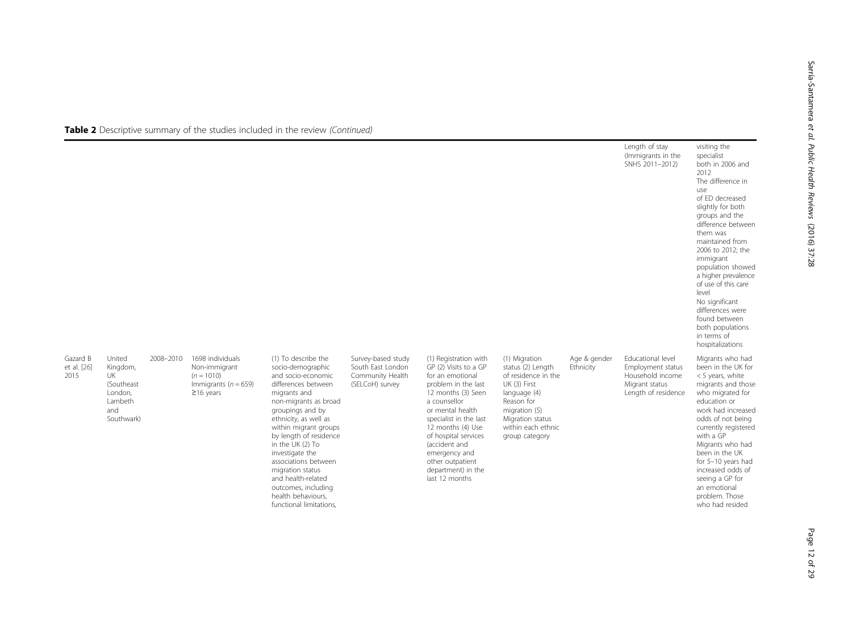|                                 |                                                                                          |           |                                                                                                  |                                                                                                                                                                                                                                                                                                                                                                                                                 |                                                                                |                                                                                                                                                                                                                                                                                                                          |                                                                                                                                                                                      |                           | Length of stay<br>(Immigrants in the<br>SNHS 2011-2012)                                             | visiting the<br>specialist<br>both in 2006 and<br>2012<br>The difference in<br>use<br>of ED decreased<br>slightly for both<br>groups and the<br>difference between<br>them was<br>maintained from<br>2006 to 2012; the<br>immigrant<br>population showed<br>a higher prevalence<br>of use of this care<br>level<br>No significant<br>differences were<br>found between<br>both populations<br>in terms of<br>hospitalizations |
|---------------------------------|------------------------------------------------------------------------------------------|-----------|--------------------------------------------------------------------------------------------------|-----------------------------------------------------------------------------------------------------------------------------------------------------------------------------------------------------------------------------------------------------------------------------------------------------------------------------------------------------------------------------------------------------------------|--------------------------------------------------------------------------------|--------------------------------------------------------------------------------------------------------------------------------------------------------------------------------------------------------------------------------------------------------------------------------------------------------------------------|--------------------------------------------------------------------------------------------------------------------------------------------------------------------------------------|---------------------------|-----------------------------------------------------------------------------------------------------|-------------------------------------------------------------------------------------------------------------------------------------------------------------------------------------------------------------------------------------------------------------------------------------------------------------------------------------------------------------------------------------------------------------------------------|
| Gazard B<br>et al. [26]<br>2015 | United<br>Kingdom,<br><b>UK</b><br>(Southeast<br>London,<br>Lambeth<br>and<br>Southwark) | 2008-2010 | 1698 individuals<br>Non-immigrant<br>$(n = 1010)$<br>Immigrants ( $n = 659$ )<br>$\geq$ 16 years | (1) To describe the<br>socio-demographic<br>and socio-economic<br>differences between<br>migrants and<br>non-migrants as broad<br>groupings and by<br>ethnicity, as well as<br>within migrant groups<br>by length of residence<br>in the UK (2) To<br>investigate the<br>associations between<br>migration status<br>and health-related<br>outcomes, including<br>health behaviours,<br>functional limitations. | Survey-based study<br>South East London<br>Community Health<br>(SELCoH) survey | (1) Registration with<br>GP (2) Visits to a GP<br>for an emotional<br>problem in the last<br>12 months (3) Seen<br>a counsellor<br>or mental health<br>specialist in the last<br>12 months (4) Use<br>of hospital services<br>(accident and<br>emergency and<br>other outpatient<br>department) in the<br>last 12 months | (1) Migration<br>status (2) Length<br>of residence in the<br>UK (3) First<br>language (4)<br>Reason for<br>migration (5)<br>Migration status<br>within each ethnic<br>group category | Age & gender<br>Ethnicity | Educational level<br>Employment status<br>Household income<br>Migrant status<br>Length of residence | Migrants who had<br>been in the UK for<br><5 years, white<br>migrants and those<br>who migrated for<br>education or<br>work had increased<br>odds of not being<br>currently registered<br>with a GP<br>Migrants who had<br>been in the UK<br>for 5-10 years had<br>increased odds of<br>seeing a GP for<br>an emotional<br>problem. Those<br>who had resided                                                                  |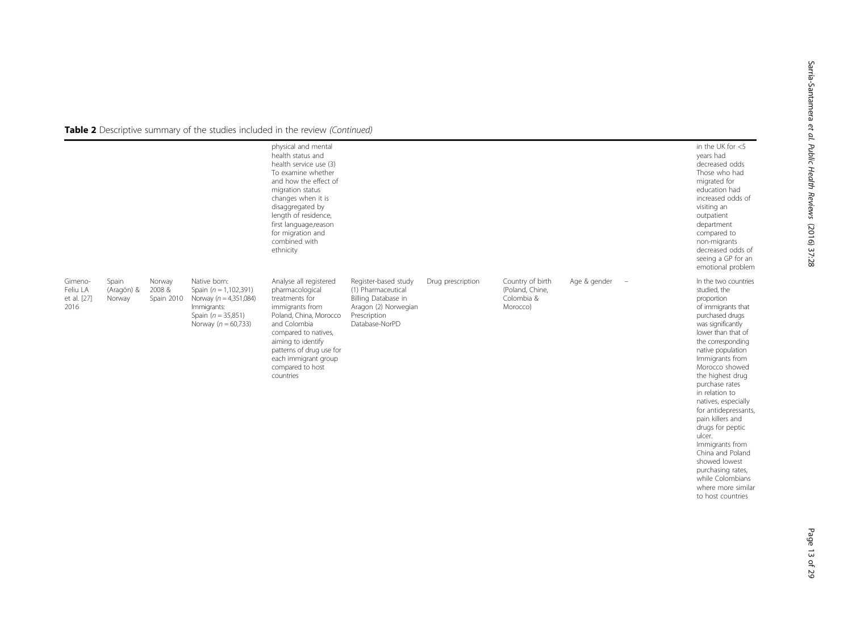|                                            |                               |                               |                                                                                                                                           | physical and mental<br>health status and<br>health service use (3)<br>To examine whether<br>and how the effect of<br>migration status<br>changes when it is<br>disaggregated by<br>length of residence,<br>first language, reason<br>for migration and<br>combined with<br>ethnicity |                                                                                                                             |                   |                                                               |              |                                 | in the UK for $<$ 5<br>years had<br>decreased odds<br>Those who had<br>migrated for<br>education had<br>increased odds of<br>visiting an<br>outpatient<br>department<br>compared to<br>non-migrants<br>decreased odds of<br>seeing a GP for an<br>emotional problem                                                                                                                                                                                                                                                        |
|--------------------------------------------|-------------------------------|-------------------------------|-------------------------------------------------------------------------------------------------------------------------------------------|--------------------------------------------------------------------------------------------------------------------------------------------------------------------------------------------------------------------------------------------------------------------------------------|-----------------------------------------------------------------------------------------------------------------------------|-------------------|---------------------------------------------------------------|--------------|---------------------------------|----------------------------------------------------------------------------------------------------------------------------------------------------------------------------------------------------------------------------------------------------------------------------------------------------------------------------------------------------------------------------------------------------------------------------------------------------------------------------------------------------------------------------|
| Gimeno-<br>Feliu LA<br>et al. [27]<br>2016 | Spain<br>(Aragón) &<br>Norway | Norway<br>2008&<br>Spain 2010 | Native born:<br>Spain ( $n = 1,102,391$ )<br>Norway ( $n = 4,351,084$ )<br>Immigrants:<br>Spain $(n = 35,851)$<br>Norway ( $n = 60,733$ ) | Analyse all registered<br>pharmacological<br>treatments for<br>immigrants from<br>Poland, China, Morocco<br>and Colombia<br>compared to natives,<br>aiming to identify<br>patterns of drug use for<br>each immigrant group<br>compared to host<br>countries                          | Register-based study<br>(1) Pharmaceutical<br>Billing Database in<br>Aragon (2) Norwegian<br>Prescription<br>Database-NorPD | Drug prescription | Country of birth<br>(Poland, Chine,<br>Colombia &<br>Morocco) | Age & gender | $\hspace{0.1mm}-\hspace{0.1mm}$ | In the two countries<br>studied, the<br>proportion<br>of immigrants that<br>purchased drugs<br>was significantly<br>lower than that of<br>the corresponding<br>native population<br>Immigrants from<br>Morocco showed<br>the highest drug<br>purchase rates<br>in relation to<br>natives, especially<br>for antidepressants,<br>pain killers and<br>drugs for peptic<br>ulcer.<br>Immigrants from<br>China and Poland<br>showed lowest<br>purchasing rates,<br>while Colombians<br>where more similar<br>to host countries |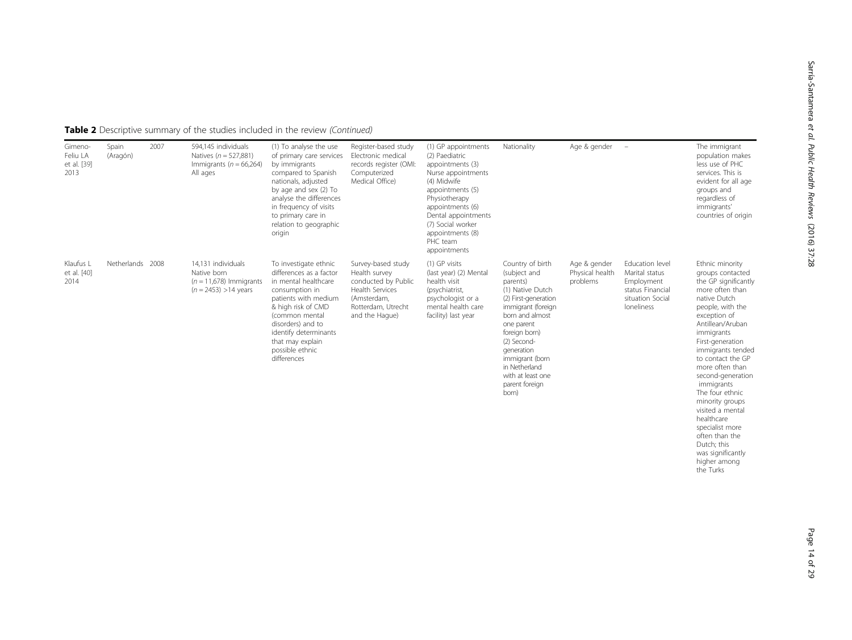| Gimeno-<br>Feliu LA<br>et al. [39]<br>2013 | Spain<br>(Aragón) | 2007 | 594,145 individuals<br>Natives ( $n = 527,881$ )<br>Immigrants ( $n = 66,264$ )<br>All ages | (1) To analyse the use<br>of primary care services<br>by immigrants<br>compared to Spanish<br>nationals, adjusted<br>by age and sex (2) To<br>analyse the differences<br>in frequency of visits<br>to primary care in<br>relation to geographic<br>origin      | Register-based study<br>Electronic medical<br>records register (OMI:<br>Computerized<br>Medical Office)                                     | (1) GP appointments<br>(2) Paediatric<br>appointments (3)<br>Nurse appointments<br>(4) Midwife<br>appointments (5)<br>Physiotherapy<br>appointments (6)<br>Dental appointments<br>(7) Social worker<br>appointments (8)<br>PHC team<br>appointments | Nationality                                                                                                                                                                                                                                                                       | Age & gender                                | $\overline{a}$                                                                                        | The immigrant<br>population makes<br>less use of PHC<br>services. This is<br>evident for all age<br>groups and<br>regardless of<br>immigrants'<br>countries of origin                                                                                                                                                                                                                                                                                     |
|--------------------------------------------|-------------------|------|---------------------------------------------------------------------------------------------|----------------------------------------------------------------------------------------------------------------------------------------------------------------------------------------------------------------------------------------------------------------|---------------------------------------------------------------------------------------------------------------------------------------------|-----------------------------------------------------------------------------------------------------------------------------------------------------------------------------------------------------------------------------------------------------|-----------------------------------------------------------------------------------------------------------------------------------------------------------------------------------------------------------------------------------------------------------------------------------|---------------------------------------------|-------------------------------------------------------------------------------------------------------|-----------------------------------------------------------------------------------------------------------------------------------------------------------------------------------------------------------------------------------------------------------------------------------------------------------------------------------------------------------------------------------------------------------------------------------------------------------|
| Klaufus L<br>et al. [40]<br>2014           | Netherlands 2008  |      | 14.131 individuals<br>Native born<br>$(n = 11,678)$ Immigrants<br>$(n = 2453) > 14$ years   | To investigate ethnic<br>differences as a factor<br>in mental healthcare<br>consumption in<br>patients with medium<br>& high risk of CMD<br>(common mental<br>disorders) and to<br>identify determinants<br>that may explain<br>possible ethnic<br>differences | Survey-based study<br>Health survey<br>conducted by Public<br><b>Health Services</b><br>(Amsterdam,<br>Rotterdam, Utrecht<br>and the Haque) | (1) GP visits<br>(last year) (2) Mental<br>health visit<br>(psychiatrist,<br>psychologist or a<br>mental health care<br>facility) last year                                                                                                         | Country of birth<br>(subject and<br>parents)<br>(1) Native Dutch<br>(2) First-generation<br>immigrant (foreign<br>born and almost<br>one parent<br>foreign born)<br>(2) Second-<br>generation<br>immigrant (born<br>in Netherland<br>with at least one<br>parent foreign<br>born) | Age & gender<br>Physical health<br>problems | Education level<br>Marital status<br>Employment<br>status Financial<br>situation Social<br>loneliness | Ethnic minority<br>groups contacted<br>the GP significantly<br>more often than<br>native Dutch<br>people, with the<br>exception of<br>Antillean/Aruban<br>immigrants<br>First-generation<br>immigrants tended<br>to contact the GP<br>more often than<br>second-generation<br>immigrants<br>The four ethnic<br>minority groups<br>visited a mental<br>healthcare<br>specialist more<br>often than the<br>Dutch; this<br>was significantly<br>higher among |

Page 14 of 29

the Turks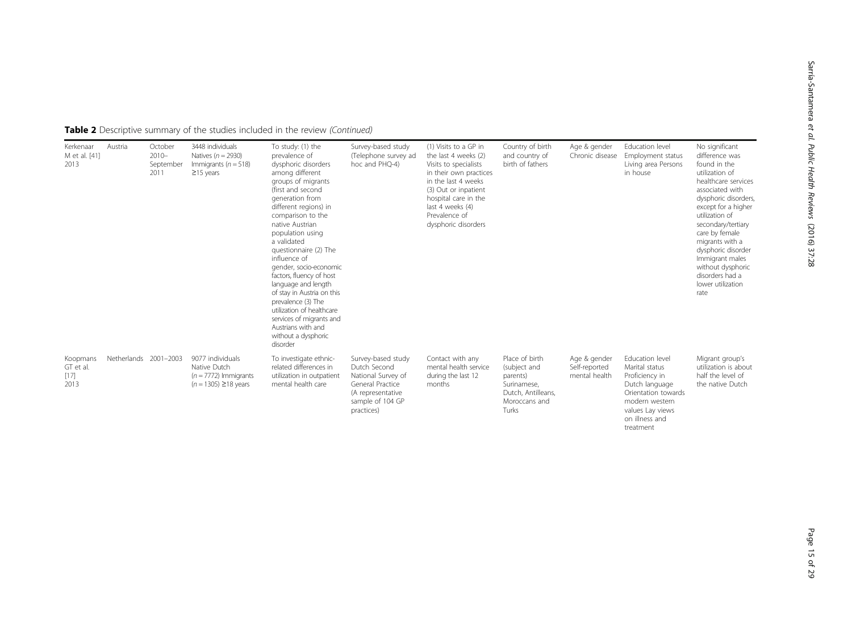Table 2 Descriptive summary of the studies included in the review (Continued)

| Kerkenaar<br>M et al. [41]<br>2013      | Austria               | October<br>$2010 -$<br>September<br>2011 | 3448 individuals<br>Natives $(n = 2930)$<br>Immigrants ( $n = 518$ )<br>$\geq$ 15 years  | To study: (1) the<br>prevalence of<br>dysphoric disorders<br>among different<br>groups of migrants<br>(first and second<br>generation from<br>different regions) in<br>comparison to the<br>native Austrian<br>population using<br>a validated<br>questionnaire (2) The<br>influence of<br>gender, socio-economic<br>factors, fluency of host<br>language and length<br>of stay in Austria on this<br>prevalence (3) The<br>utilization of healthcare<br>services of migrants and<br>Austrians with and<br>without a dysphoric<br>disorder | Survey-based study<br>(Telephone survey ad<br>hoc and PHO-4)                                                                        | (1) Visits to a GP in<br>the last 4 weeks (2)<br>Visits to specialists<br>in their own practices<br>in the last 4 weeks<br>(3) Out or inpatient<br>hospital care in the<br>last 4 weeks (4)<br>Prevalence of<br>dysphoric disorders | Country of birth<br>and country of<br>birth of fathers                                                    | Age & gender<br>Chronic disease                | Education level<br>Employment status<br>Living area Persons<br>in house                                                                                           | No significant<br>difference was<br>found in the<br>utilization of<br>healthcare services<br>associated with<br>dysphoric disorders,<br>except for a higher<br>utilization of<br>secondary/tertiary<br>care by female<br>migrants with a<br>dysphoric disorder<br>Immigrant males<br>without dysphoric<br>disorders had a<br>lower utilization<br>rate |
|-----------------------------------------|-----------------------|------------------------------------------|------------------------------------------------------------------------------------------|--------------------------------------------------------------------------------------------------------------------------------------------------------------------------------------------------------------------------------------------------------------------------------------------------------------------------------------------------------------------------------------------------------------------------------------------------------------------------------------------------------------------------------------------|-------------------------------------------------------------------------------------------------------------------------------------|-------------------------------------------------------------------------------------------------------------------------------------------------------------------------------------------------------------------------------------|-----------------------------------------------------------------------------------------------------------|------------------------------------------------|-------------------------------------------------------------------------------------------------------------------------------------------------------------------|--------------------------------------------------------------------------------------------------------------------------------------------------------------------------------------------------------------------------------------------------------------------------------------------------------------------------------------------------------|
| Koopmans<br>GT et al.<br>$[17]$<br>2013 | Netherlands 2001-2003 |                                          | 9077 individuals<br>Native Dutch<br>$(n = 7772)$ Immigrants<br>$(n = 1305) \ge 18$ years | To investigate ethnic-<br>related differences in<br>utilization in outpatient<br>mental health care                                                                                                                                                                                                                                                                                                                                                                                                                                        | Survey-based study<br>Dutch Second<br>National Survey of<br>General Practice<br>(A representative<br>sample of 104 GP<br>practices) | Contact with any<br>mental health service<br>during the last 12<br>months                                                                                                                                                           | Place of birth<br>(subject and<br>parents)<br>Surinamese,<br>Dutch, Antilleans,<br>Moroccans and<br>Turks | Age & gender<br>Self-reported<br>mental health | Education level<br>Marital status<br>Proficiency in<br>Dutch language<br>Orientation towards<br>modern western<br>values Lay views<br>on illness and<br>treatment | Migrant group's<br>utilization is about<br>half the level of<br>the native Dutch                                                                                                                                                                                                                                                                       |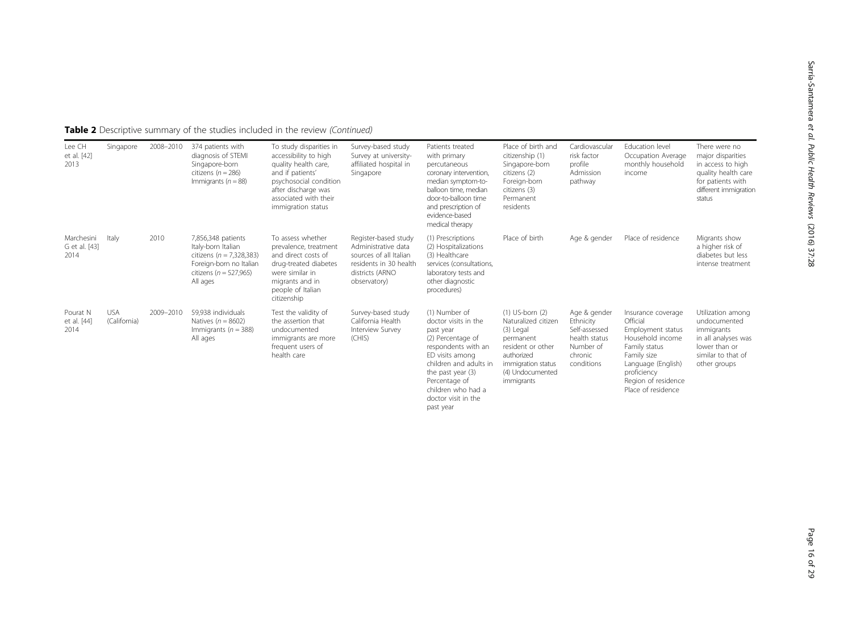| Lee CH<br>et al. [42]<br>2013       | Singapore                  | 2008-2010 | 374 patients with<br>diagnosis of STEMI<br>Singapore-born<br>citizens ( $n = 286$ )<br>Immigrants ( $n = 88$ )                                | To study disparities in<br>accessibility to high<br>quality health care,<br>and if patients'<br>psychosocial condition<br>after discharge was<br>associated with their<br>immigration status | Survey-based study<br>Survey at university-<br>affiliated hospital in<br>Singapore                                                 | Patients treated<br>with primary<br>percutaneous<br>coronary intervention,<br>median symptom-to-<br>balloon time, median<br>door-to-balloon time<br>and prescription of<br>evidence-based<br>medical therapy                                  | Place of birth and<br>citizenship (1)<br>Singapore-born<br>citizens (2)<br>Foreign-born<br>citizens (3)<br>Permanent<br>residents                               | Cardiovascular<br>risk factor<br>profile<br>Admission<br>pathway                                  | Education level<br>Occupation Average<br>monthly household<br>income                                                                                                                      | There were no<br>major disparities<br>in access to high<br>quality health care<br>for patients with<br>different immigration<br>status |
|-------------------------------------|----------------------------|-----------|-----------------------------------------------------------------------------------------------------------------------------------------------|----------------------------------------------------------------------------------------------------------------------------------------------------------------------------------------------|------------------------------------------------------------------------------------------------------------------------------------|-----------------------------------------------------------------------------------------------------------------------------------------------------------------------------------------------------------------------------------------------|-----------------------------------------------------------------------------------------------------------------------------------------------------------------|---------------------------------------------------------------------------------------------------|-------------------------------------------------------------------------------------------------------------------------------------------------------------------------------------------|----------------------------------------------------------------------------------------------------------------------------------------|
| Marchesini<br>G et al. [43]<br>2014 | Italy                      | 2010      | 7,856,348 patients<br>Italy-born Italian<br>citizens ( $n = 7,328,383$ )<br>Foreign-born no Italian<br>citizens ( $n = 527,965$ )<br>All ages | To assess whether<br>prevalence, treatment<br>and direct costs of<br>drug-treated diabetes<br>were similar in<br>migrants and in<br>people of Italian<br>citizenship                         | Register-based study<br>Administrative data<br>sources of all Italian<br>residents in 30 health<br>districts (ARNO<br>observatory) | (1) Prescriptions<br>(2) Hospitalizations<br>(3) Healthcare<br>services (consultations,<br>laboratory tests and<br>other diagnostic<br>procedures)                                                                                            | Place of birth                                                                                                                                                  | Age & gender                                                                                      | Place of residence                                                                                                                                                                        | Migrants show<br>a higher risk of<br>diabetes but less<br>intense treatment                                                            |
| Pourat N<br>et al. [44]<br>2014     | <b>USA</b><br>(California) | 2009-2010 | 59,938 individuals<br>Natives $(n = 8602)$<br>Immigrants ( $n = 388$ )<br>All ages                                                            | Test the validity of<br>the assertion that<br>undocumented<br>immigrants are more<br>frequent users of<br>health care                                                                        | Survey-based study<br>California Health<br>Interview Survey<br>(CHIS)                                                              | (1) Number of<br>doctor visits in the<br>past year<br>(2) Percentage of<br>respondents with an<br>ED visits among<br>children and adults in<br>the past year $(3)$<br>Percentage of<br>children who had a<br>doctor visit in the<br>past year | $(1)$ US-born $(2)$<br>Naturalized citizen<br>(3) Legal<br>permanent<br>resident or other<br>authorized<br>immigration status<br>(4) Undocumented<br>immigrants | Age & gender<br>Ethnicity<br>Self-assessed<br>health status<br>Number of<br>chronic<br>conditions | Insurance coverage<br>Official<br>Employment status<br>Household income<br>Family status<br>Family size<br>Language (English)<br>proficiency<br>Region of residence<br>Place of residence | Utilization among<br>undocumented<br>immigrants<br>in all analyses was<br>lower than or<br>similar to that of<br>other groups          |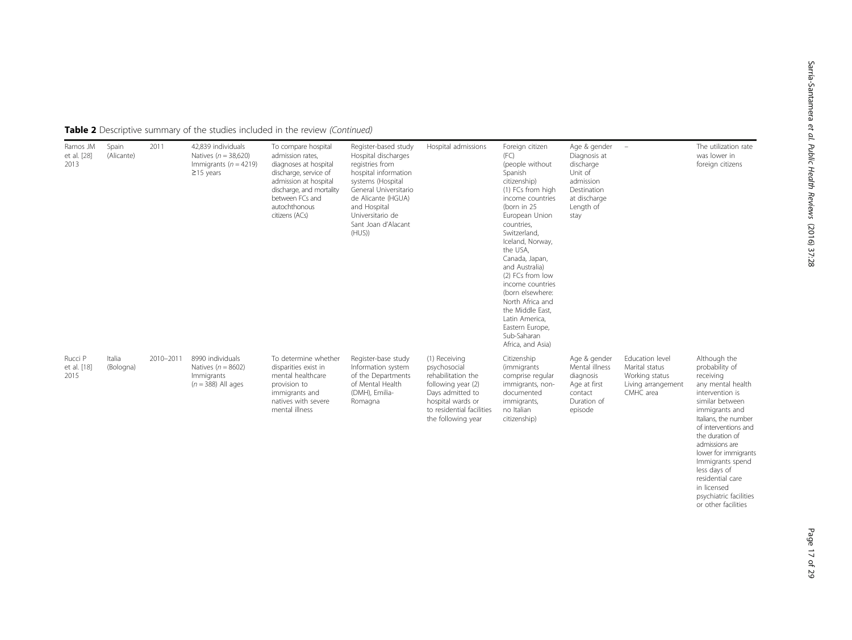| Table 2 Descriptive summary of the studies included in the review (Continued) |  |  |
|-------------------------------------------------------------------------------|--|--|
|                                                                               |  |  |

| Ramos JM<br>et al. [28]<br>2013 | Spain<br>(Alicante) | 2011      | 42.839 individuals<br>Natives ( $n = 38,620$ )<br>Immigrants ( $n = 4219$ )<br>$\geq$ 15 years | To compare hospital<br>admission rates,<br>diagnoses at hospital<br>discharge, service of<br>admission at hospital<br>discharge, and mortality<br>between FCs and<br>autochthonous<br>citizens (ACs) | Register-based study<br>Hospital discharges<br>registries from<br>hospital information<br>systems (Hospital<br>General Universitario<br>de Alicante (HGUA)<br>and Hospital<br>Universitario de<br>Sant Joan d'Alacant<br>(HUS) | Hospital admissions                                                                                                                                                   | Foreign citizen<br>(FC)<br>(people without<br>Spanish<br>citizenship)<br>(1) FCs from high<br>income countries<br>(born in 25<br>European Union<br>countries,<br>Switzerland,<br>Iceland, Norway,<br>the USA,<br>Canada, Japan,<br>and Australia)<br>(2) FCs from low<br>income countries<br>(born elsewhere:<br>North Africa and<br>the Middle East.<br>Latin America,<br>Eastern Europe,<br>Sub-Saharan<br>Africa, and Asia) | Age & gender<br>Diagnosis at<br>discharge<br>Unit of<br>admission<br>Destination<br>at discharge<br>Length of<br>stay | $\overline{\phantom{a}}$                                                               | The utilization rate<br>was lower in<br>foreign citizens                                                                                                                                                                                                                                                                                                      |
|---------------------------------|---------------------|-----------|------------------------------------------------------------------------------------------------|------------------------------------------------------------------------------------------------------------------------------------------------------------------------------------------------------|--------------------------------------------------------------------------------------------------------------------------------------------------------------------------------------------------------------------------------|-----------------------------------------------------------------------------------------------------------------------------------------------------------------------|--------------------------------------------------------------------------------------------------------------------------------------------------------------------------------------------------------------------------------------------------------------------------------------------------------------------------------------------------------------------------------------------------------------------------------|-----------------------------------------------------------------------------------------------------------------------|----------------------------------------------------------------------------------------|---------------------------------------------------------------------------------------------------------------------------------------------------------------------------------------------------------------------------------------------------------------------------------------------------------------------------------------------------------------|
| Rucci P<br>et al. [18]<br>2015  | Italia<br>(Bologna) | 2010-2011 | 8990 individuals<br>Natives ( $n = 8602$ )<br>Immigrants<br>$(n = 388)$ All ages               | To determine whether<br>disparities exist in<br>mental healthcare<br>provision to<br>immigrants and<br>natives with severe<br>mental illness                                                         | Register-base study<br>Information system<br>of the Departments<br>of Mental Health<br>(DMH), Emilia-<br>Romagna                                                                                                               | (1) Receiving<br>psychosocial<br>rehabilitation the<br>following year (2)<br>Days admitted to<br>hospital wards or<br>to residential facilities<br>the following year | Citizenship<br><i>(immigrants)</i><br>comprise regular<br>immigrants, non-<br>documented<br>immigrants,<br>no Italian<br>citizenship)                                                                                                                                                                                                                                                                                          | Age & gender<br>Mental illness<br>diagnosis<br>Age at first<br>contact<br>Duration of<br>episode                      | Education level<br>Marital status<br>Working status<br>Living arrangement<br>CMHC area | Although the<br>probability of<br>receiving<br>any mental health<br>intervention is<br>similar between<br>immigrants and<br>Italians, the number<br>of interventions and<br>the duration of<br>admissions are<br>lower for immigrants<br>Immigrants spend<br>less days of<br>residential care<br>in licensed<br>psychiatric facilities<br>or other facilities |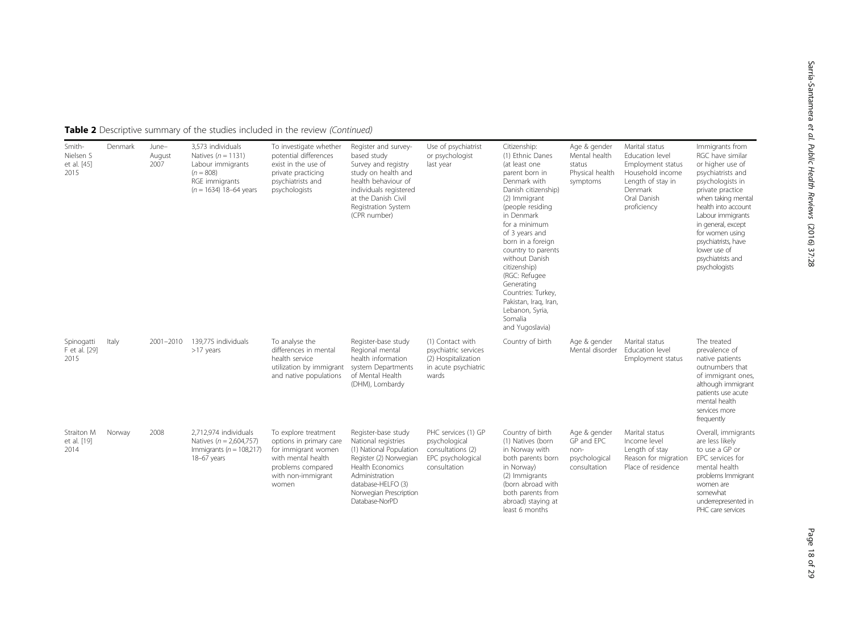| Table 2 Descriptive summary of the studies included in the review (Continued) |  |
|-------------------------------------------------------------------------------|--|
|-------------------------------------------------------------------------------|--|

| Smith-<br>Nielsen S<br>et al. [45]<br>2015 | Denmark | June-<br>August<br>2007 | 3,573 individuals<br>Natives $(n = 1131)$<br>Labour immigrants<br>$(n = 808)$<br>RGE immigrants<br>$(n = 1634)$ 18-64 years | To investigate whether<br>potential differences<br>exist in the use of<br>private practicing<br>psychiatrists and<br>psychologists               | Register and survey-<br>based study<br>Survey and registry<br>study on health and<br>health behaviour of<br>individuals registered<br>at the Danish Civil<br>Registration System<br>(CPR number)        | Use of psychiatrist<br>or psychologist<br>last year                                              | Citizenship:<br>(1) Ethnic Danes<br>(at least one<br>parent born in<br>Denmark with<br>Danish citizenship)<br>(2) Immigrant<br>(people residing<br>in Denmark<br>for a minimum<br>of 3 years and<br>born in a foreign<br>country to parents<br>without Danish<br>citizenship)<br>(RGC: Refugee<br>Generating<br>Countries: Turkey,<br>Pakistan, Iraq, Iran,<br>Lebanon, Syria,<br>Somalia<br>and Yugoslavia) | Age & gender<br>Mental health<br>status<br>Physical health<br>symptoms | Marital status<br>Education level<br>Employment status<br>Household income<br>Length of stay in<br>Denmark<br>Oral Danish<br>proficiency | Immigrants from<br>RGC have similar<br>or higher use of<br>psychiatrists and<br>psychologists in<br>private practice<br>when taking mental<br>health into account<br>Labour immigrants<br>in general, except<br>for women using<br>psychiatrists, have<br>lower use of<br>psychiatrists and<br>psychologists |
|--------------------------------------------|---------|-------------------------|-----------------------------------------------------------------------------------------------------------------------------|--------------------------------------------------------------------------------------------------------------------------------------------------|---------------------------------------------------------------------------------------------------------------------------------------------------------------------------------------------------------|--------------------------------------------------------------------------------------------------|--------------------------------------------------------------------------------------------------------------------------------------------------------------------------------------------------------------------------------------------------------------------------------------------------------------------------------------------------------------------------------------------------------------|------------------------------------------------------------------------|------------------------------------------------------------------------------------------------------------------------------------------|--------------------------------------------------------------------------------------------------------------------------------------------------------------------------------------------------------------------------------------------------------------------------------------------------------------|
| Spinogatti<br>F et al. [29]<br>2015        | Italy   | 2001-2010               | 139.775 individuals<br>>17 years                                                                                            | To analyse the<br>differences in mental<br>health service<br>utilization by immigrant<br>and native populations                                  | Register-base study<br>Regional mental<br>health information<br>system Departments<br>of Mental Health<br>(DHM), Lombardy                                                                               | (1) Contact with<br>psychiatric services<br>(2) Hospitalization<br>in acute psychiatric<br>wards | Country of birth                                                                                                                                                                                                                                                                                                                                                                                             | Age & gender<br>Mental disorder                                        | Marital status<br>Education level<br>Employment status                                                                                   | The treated<br>prevalence of<br>native patients<br>outnumbers that<br>of immigrant ones,<br>although immigrant<br>patients use acute<br>mental health<br>services more<br>frequently                                                                                                                         |
| Straiton M<br>et al. [19]<br>2014          | Norway  | 2008                    | 2.712.974 individuals<br>Natives ( $n = 2,604,757$ )<br>Immigrants ( $n = 108,217$ )<br>18-67 years                         | To explore treatment<br>options in primary care<br>for immigrant women<br>with mental health<br>problems compared<br>with non-immigrant<br>women | Register-base study<br>National registries<br>(1) National Population<br>Register (2) Norwegian<br>Health Economics<br>Administration<br>database-HELFO (3)<br>Norwegian Prescription<br>Database-NorPD | PHC services (1) GP<br>psychological<br>consultations (2)<br>EPC psychological<br>consultation   | Country of birth<br>(1) Natives (born<br>in Norway with<br>both parents born<br>in Norway)<br>(2) Immigrants<br>(born abroad with<br>both parents from<br>abroad) staying at<br>least 6 months                                                                                                                                                                                                               | Age & gender<br>GP and EPC<br>non-<br>psychological<br>consultation    | Marital status<br>Income level<br>Length of stay<br>Reason for migration<br>Place of residence                                           | Overall, immigrants<br>are less likely<br>to use a GP or<br>EPC services for<br>mental health<br>problems Immigrant<br>women are<br>somewhat<br>underrepresented in<br>PHC care services                                                                                                                     |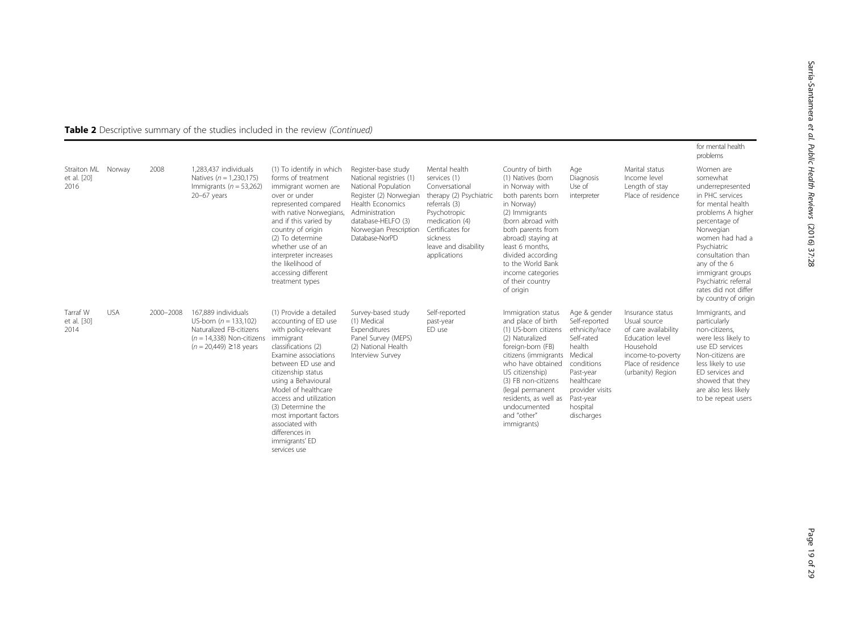|                                    |            |           |                                                                                                                                         |                                                                                                                                                                                                                                                                                                                                                                              |                                                                                                                                                                                                         |                                                                                                                                                                                                       |                                                                                                                                                                                                                                                                                                 |                                                                                                                                                                                       |                                                                                                                                                          | for mental health<br>problems                                                                                                                                                                                                                                                                           |
|------------------------------------|------------|-----------|-----------------------------------------------------------------------------------------------------------------------------------------|------------------------------------------------------------------------------------------------------------------------------------------------------------------------------------------------------------------------------------------------------------------------------------------------------------------------------------------------------------------------------|---------------------------------------------------------------------------------------------------------------------------------------------------------------------------------------------------------|-------------------------------------------------------------------------------------------------------------------------------------------------------------------------------------------------------|-------------------------------------------------------------------------------------------------------------------------------------------------------------------------------------------------------------------------------------------------------------------------------------------------|---------------------------------------------------------------------------------------------------------------------------------------------------------------------------------------|----------------------------------------------------------------------------------------------------------------------------------------------------------|---------------------------------------------------------------------------------------------------------------------------------------------------------------------------------------------------------------------------------------------------------------------------------------------------------|
| Straiton ML<br>et al. [20]<br>2016 | Norway     | 2008      | 1.283.437 individuals<br>Natives ( $n = 1,230,175$ )<br>Immigrants ( $n = 53,262$ )<br>$20-67$ years                                    | (1) To identify in which<br>forms of treatment<br>immigrant women are<br>over or under<br>represented compared<br>with native Norwegians,<br>and if this varied by<br>country of origin<br>(2) To determine<br>whether use of an<br>interpreter increases<br>the likelihood of<br>accessing different<br>treatment types                                                     | Register-base study<br>National registries (1)<br>National Population<br>Register (2) Norwegian<br>Health Economics<br>Administration<br>database-HELFO (3)<br>Norwegian Prescription<br>Database-NorPD | Mental health<br>services (1)<br>Conversational<br>therapy (2) Psychiatric<br>referrals (3)<br>Psychotropic<br>medication (4)<br>Certificates for<br>sickness<br>leave and disability<br>applications | Country of birth<br>(1) Natives (born<br>in Norway with<br>both parents born<br>in Norway)<br>(2) Immigrants<br>(born abroad with<br>both parents from<br>abroad) staying at<br>least 6 months,<br>divided according<br>to the World Bank<br>income categories<br>of their country<br>of origin | Age<br>Diagnosis<br>Use of<br>interpreter                                                                                                                                             | Marital status<br>Income level<br>Length of stay<br>Place of residence                                                                                   | Women are<br>somewhat<br>underrepresented<br>in PHC services<br>for mental health<br>problems A higher<br>percentage of<br>Norwegian<br>women had had a<br>Psychiatric<br>consultation than<br>any of the 6<br>immigrant groups<br>Psychiatric referral<br>rates did not differ<br>by country of origin |
| Tarraf W<br>et al. [30]<br>2014    | <b>USA</b> | 2000-2008 | 167.889 individuals<br>US-born $(n = 133.102)$<br>Naturalized FB-citizens<br>$(n = 14.338)$ Non-citizens<br>$(n = 20,449) \ge 18$ years | (1) Provide a detailed<br>accounting of ED use<br>with policy-relevant<br>immigrant<br>classifications (2)<br>Examine associations<br>between ED use and<br>citizenship status<br>using a Behavioural<br>Model of healthcare<br>access and utilization<br>(3) Determine the<br>most important factors<br>associated with<br>differences in<br>immigrants' ED<br>services use | Survey-based study<br>(1) Medical<br>Expenditures<br>Panel Survey (MEPS)<br>(2) National Health<br>Interview Survey                                                                                     | Self-reported<br>past-year<br>ED use                                                                                                                                                                  | Immigration status<br>and place of birth<br>(1) US-born citizens<br>(2) Naturalized<br>foreign-born (FB)<br>citizens (immigrants<br>who have obtained<br>US citizenship)<br>(3) FB non-citizens<br>(legal permanent<br>residents, as well as<br>undocumented<br>and "other"<br>immigrants)      | Age & gender<br>Self-reported<br>ethnicity/race<br>Self-rated<br>health<br>Medical<br>conditions<br>Past-year<br>healthcare<br>provider visits<br>Past-year<br>hospital<br>discharges | Insurance status<br>Usual source<br>of care availability<br>Education level<br>Household<br>income-to-poverty<br>Place of residence<br>(urbanity) Region | Immigrants, and<br>particularly<br>non-citizens,<br>were less likely to<br>use ED services<br>Non-citizens are<br>less likely to use<br>ED services and<br>showed that they<br>are also less likely<br>to be repeat users                                                                               |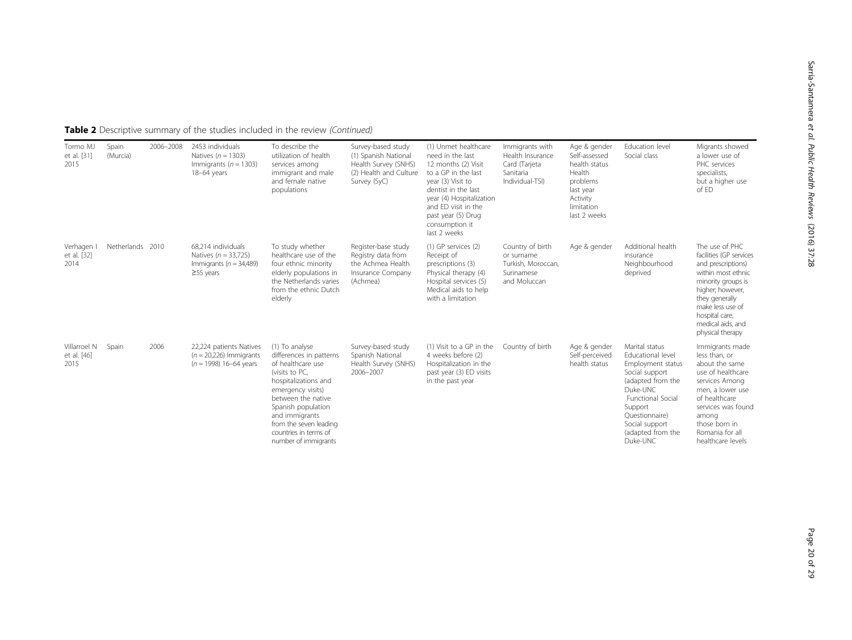Sarría-Santamera

et al. Public Health Reviews

(2016) 37:28

| Tormo MJ<br>et al. [31]<br>2015     | Spain<br>(Murcia) | 2006-2008 | 2453 individuals<br>Natives ( $n = 1303$ )<br>Immigrants ( $n = 1303$ )<br>18-64 years         | To describe the<br>utilization of health<br>services among<br>immigrant and male<br>and female native<br>populations                                                                                                                                                   | Survey-based study<br>(1) Spanish National<br>Health Survey (SNHS)<br>(2) Health and Culture<br>Survey (SyC) | (1) Unmet healthcare<br>need in the last<br>12 months (2) Visit<br>to a GP in the last<br>year (3) Visit to<br>dentist in the last<br>year (4) Hospitalization<br>and ED visit in the<br>past year (5) Drug<br>consumption it<br>last 2 weeks | Immigrants with<br>Health Insurance<br>Card (Tarjeta<br>Sanitaria<br>Individual-TSI) | Age & gender<br>Self-assessed<br>health status<br>Health<br>problems<br>last year<br>Activity<br>limitation<br>last 2 weeks | Education level<br>Social class                                                                                                                                                                                  | Migrants showed<br>a lower use of<br>PHC services<br>specialists,<br>but a higher use<br>of ED                                                                                                                                   |
|-------------------------------------|-------------------|-----------|------------------------------------------------------------------------------------------------|------------------------------------------------------------------------------------------------------------------------------------------------------------------------------------------------------------------------------------------------------------------------|--------------------------------------------------------------------------------------------------------------|-----------------------------------------------------------------------------------------------------------------------------------------------------------------------------------------------------------------------------------------------|--------------------------------------------------------------------------------------|-----------------------------------------------------------------------------------------------------------------------------|------------------------------------------------------------------------------------------------------------------------------------------------------------------------------------------------------------------|----------------------------------------------------------------------------------------------------------------------------------------------------------------------------------------------------------------------------------|
| Verhagen I<br>et al. [32]<br>2014   | Netherlands 2010  |           | 68.214 individuals<br>Natives $(n = 33,725)$<br>Immigrants ( $n = 34,489$ )<br>$\geq$ 55 years | To study whether<br>healthcare use of the<br>four ethnic minority<br>elderly populations in<br>the Netherlands varies<br>from the ethnic Dutch<br>elderly                                                                                                              | Register-base study<br>Registry data from<br>the Achmea Health<br>Insurance Company<br>(Achmea)              | $(1)$ GP services $(2)$<br>Receipt of<br>prescriptions (3)<br>Physical therapy (4)<br>Hospital services (5)<br>Medical aids to help<br>with a limitation                                                                                      | Country of birth<br>or surname<br>Turkish, Moroccan,<br>Surinamese<br>and Moluccan   | Age & gender                                                                                                                | Additional health<br>insurance<br>Neighbourhood<br>deprived                                                                                                                                                      | The use of PHC<br>facilities (GP services<br>and prescriptions)<br>within most ethnic<br>minority groups is<br>higher; however,<br>they generally<br>make less use of<br>hospital care,<br>medical aids, and<br>physical therapy |
| Villarroel N<br>et al. [46]<br>2015 | Spain             | 2006      | 22,224 patients Natives<br>$(n = 20,226)$ Immigrants<br>$(n = 1998)$ 16-64 years               | (1) To analyse<br>differences in patterns<br>of healthcare use<br>(visits to PC,<br>hospitalizations and<br>emergency visits)<br>between the native<br>Spanish population<br>and immigrants<br>from the seven leading<br>countries in terms of<br>number of immigrants | Survey-based study<br>Spanish National<br>Health Survey (SNHS)<br>2006-2007                                  | (1) Visit to a GP in the<br>4 weeks before (2)<br>Hospitalization in the<br>past year (3) ED visits<br>in the past year                                                                                                                       | Country of birth                                                                     | Age & gender<br>Self-perceived<br>health status                                                                             | Marital status<br>Educational level<br>Employment status<br>Social support<br>(adapted from the<br>Duke-UNC<br>Functional Social<br>Support<br>Ouestionnaire)<br>Social support<br>(adapted from the<br>Duke-UNC | Immigrants made<br>less than, or<br>about the same<br>use of healthcare<br>services Amona<br>men, a lower use<br>of healthcare<br>services was found<br>among<br>those born in<br>Romania for all<br>healthcare levels           |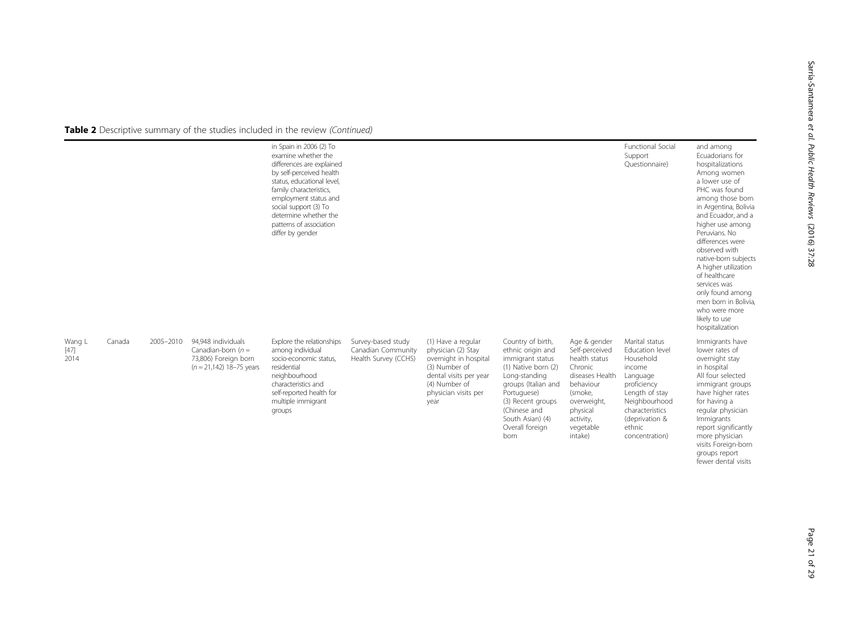|                          |        |           |                                                                                                  | in Spain in 2006 (2) To<br>examine whether the<br>differences are explained<br>by self-perceived health<br>status, educational level,<br>family characteristics,<br>employment status and<br>social support (3) To<br>determine whether the<br>patterns of association<br>differ by gender |                                                                  |                                                                                                                                                               |                                                                                                                                                                                                                              |                                                                                                                                                                       | Functional Social<br>Support<br>Ouestionnaire)                                                                                                                                          | and among<br>Ecuadorians for<br>hospitalizations<br>Among women<br>a lower use of<br>PHC was found<br>among those born<br>in Argentina, Bolivia<br>and Ecuador, and a<br>higher use among<br>Peruvians. No<br>differences were<br>observed with<br>native-born subjects<br>A higher utilization<br>of healthcare<br>services was<br>only found among<br>men born in Bolivia.<br>who were more<br>likely to use<br>hospitalization |
|--------------------------|--------|-----------|--------------------------------------------------------------------------------------------------|--------------------------------------------------------------------------------------------------------------------------------------------------------------------------------------------------------------------------------------------------------------------------------------------|------------------------------------------------------------------|---------------------------------------------------------------------------------------------------------------------------------------------------------------|------------------------------------------------------------------------------------------------------------------------------------------------------------------------------------------------------------------------------|-----------------------------------------------------------------------------------------------------------------------------------------------------------------------|-----------------------------------------------------------------------------------------------------------------------------------------------------------------------------------------|-----------------------------------------------------------------------------------------------------------------------------------------------------------------------------------------------------------------------------------------------------------------------------------------------------------------------------------------------------------------------------------------------------------------------------------|
| Wang L<br>$[47]$<br>2014 | Canada | 2005-2010 | 94.948 individuals<br>Canadian-born $(n =$<br>73,806) Foreign born<br>$(n = 21,142)$ 18-75 years | Explore the relationships<br>among individual<br>socio-economic status.<br>residential<br>neighbourhood<br>characteristics and<br>self-reported health for<br>multiple immigrant<br>groups                                                                                                 | Survey-based study<br>Canadian Community<br>Health Survey (CCHS) | (1) Have a regular<br>physician (2) Stay<br>overnight in hospital<br>(3) Number of<br>dental visits per year<br>(4) Number of<br>physician visits per<br>year | Country of birth,<br>ethnic origin and<br>immigrant status<br>(1) Native born (2)<br>Long-standing<br>groups (Italian and<br>Portuguese)<br>(3) Recent groups<br>(Chinese and<br>South Asian) (4)<br>Overall foreign<br>born | Age & gender<br>Self-perceived<br>health status<br>Chronic<br>diseases Health<br>behaviour<br>(smoke,<br>overweight,<br>physical<br>activity,<br>vegetable<br>intake) | Marital status<br>Education level<br>Household<br>income<br>Language<br>proficiency<br>Length of stay<br>Neighbourhood<br>characteristics<br>(deprivation &<br>ethnic<br>concentration) | Immigrants have<br>lower rates of<br>overnight stay<br>in hospital<br>All four selected<br>immigrant groups<br>have higher rates<br>for having a<br>regular physician<br>Immigrants<br>report significantly<br>more physician<br>visits Foreign-born<br>groups report<br>fewer dental visits                                                                                                                                      |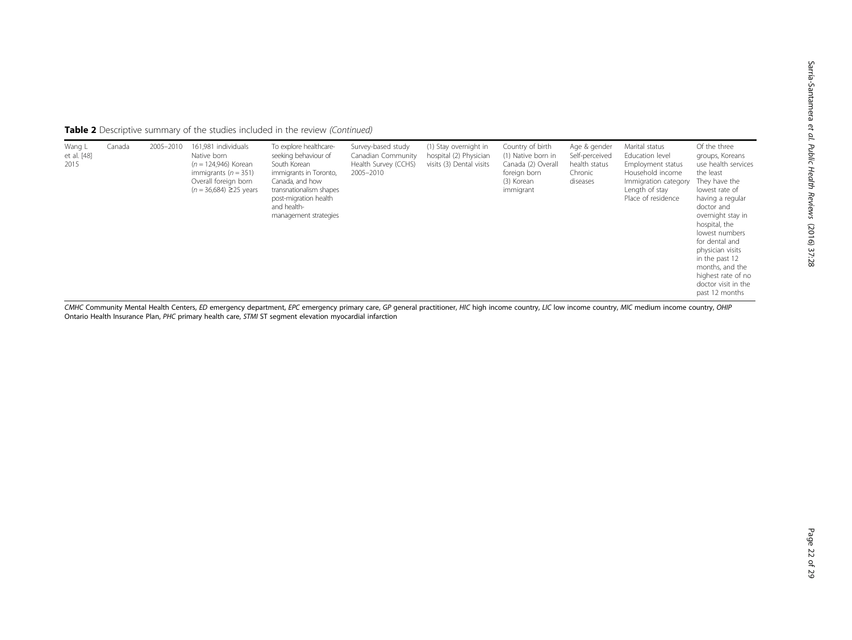| Table 2 Descriptive summary of the studies included in the review (Continued) |  |
|-------------------------------------------------------------------------------|--|
|-------------------------------------------------------------------------------|--|

| Wang L<br>et al. [48]<br>2015 | Canada | 2005-2010 | 161,981 individuals<br>Native born<br>$(n = 124,946)$ Korean<br>immigrants ( $n = 351$ )<br>Overall foreign born<br>$(n = 36,684) \ge 25$ years | To explore healthcare-<br>seeking behaviour of<br>South Korean<br>immigrants in Toronto,<br>Canada, and how<br>transnationalism shapes<br>post-migration health<br>and health-<br>management strategies | Survey-based study<br>Canadian Community<br>Health Survey (CCHS)<br>2005-2010 | (1) Stay overnight in<br>hospital (2) Physician<br>visits (3) Dental visits | Country of birth<br>(1) Native born in<br>Canada (2) Overall<br>foreign born<br>(3) Korean<br>immigrant | Age & gender<br>Self-perceived<br>health status<br>Chronic<br>diseases | Marital status<br>Education level<br>Employment status<br>Household income<br>Immigration category<br>Length of stay<br>Place of residence | Of the three<br>groups, Koreans<br>use health services<br>the least<br>They have the<br>lowest rate of<br>having a regular<br>doctor and<br>overnight stay in<br>hospital, the<br>lowest numbers<br>for dental and<br>physician visits<br>in the past 12<br>months, and the<br>highest rate of no |
|-------------------------------|--------|-----------|-------------------------------------------------------------------------------------------------------------------------------------------------|---------------------------------------------------------------------------------------------------------------------------------------------------------------------------------------------------------|-------------------------------------------------------------------------------|-----------------------------------------------------------------------------|---------------------------------------------------------------------------------------------------------|------------------------------------------------------------------------|--------------------------------------------------------------------------------------------------------------------------------------------|---------------------------------------------------------------------------------------------------------------------------------------------------------------------------------------------------------------------------------------------------------------------------------------------------|
|                               |        |           |                                                                                                                                                 |                                                                                                                                                                                                         |                                                                               |                                                                             |                                                                                                         |                                                                        |                                                                                                                                            | doctor visit in the<br>past 12 months                                                                                                                                                                                                                                                             |

CMHC Community Mental Health Centers, ED emergency department, EPC emergency primary care, GP general practitioner, HIC high income country, LIC low income country, MIC medium income country, OHIP Ontario Health Insurance Plan, PHC primary health care, STMI ST segment elevation myocardial infarction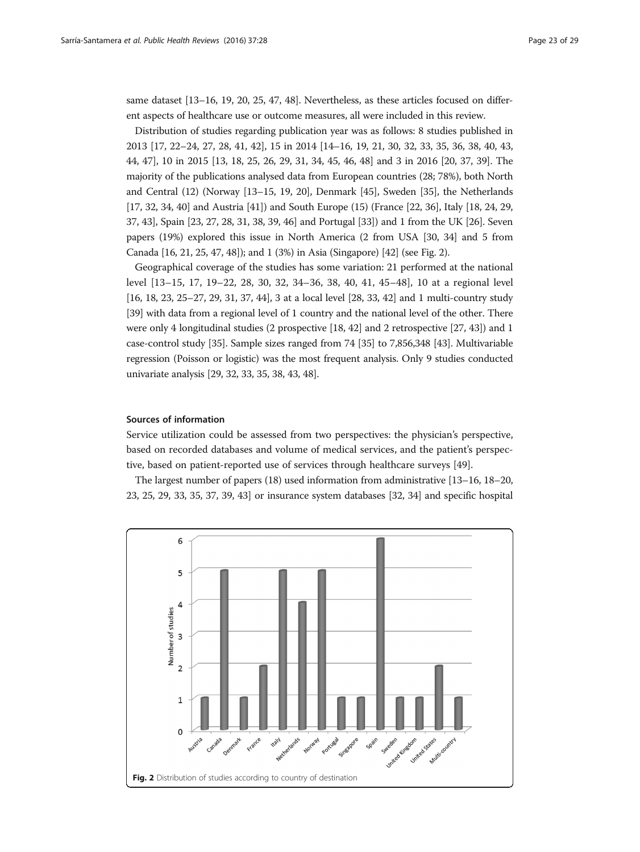same dataset [\[13](#page-27-0)–[16, 19](#page-27-0), [20](#page-27-0), [25](#page-27-0), [47](#page-28-0), [48\]](#page-28-0). Nevertheless, as these articles focused on different aspects of healthcare use or outcome measures, all were included in this review.

Distribution of studies regarding publication year was as follows: 8 studies published in 2013 [\[17, 22](#page-27-0)–[24](#page-27-0), [27](#page-27-0), [28](#page-27-0), [41](#page-28-0), [42](#page-28-0)], 15 in 2014 [[14](#page-27-0)–[16](#page-27-0), [19](#page-27-0), [21, 30,](#page-27-0) [32, 33, 35, 36, 38, 40, 43](#page-28-0), [44](#page-28-0), [47](#page-28-0)], 10 in 2015 [\[13, 18, 25, 26, 29, 31,](#page-27-0) [34, 45, 46, 48\]](#page-28-0) and 3 in 2016 [[20](#page-27-0), [37](#page-28-0), [39](#page-28-0)]. The majority of the publications analysed data from European countries (28; 78%), both North and Central (12) (Norway [[13](#page-27-0)–[15, 19](#page-27-0), [20](#page-27-0)], Denmark [\[45\]](#page-28-0), Sweden [\[35\]](#page-28-0), the Netherlands [[17](#page-27-0), [32, 34](#page-28-0), [40\]](#page-28-0) and Austria [[41](#page-28-0)]) and South Europe (15) (France [\[22,](#page-27-0) [36\]](#page-28-0), Italy [[18](#page-27-0), [24, 29](#page-27-0), [37](#page-28-0), [43\]](#page-28-0), Spain [\[23](#page-27-0), [27](#page-27-0), [28, 31](#page-27-0), [38, 39](#page-28-0), [46\]](#page-28-0) and Portugal [\[33\]](#page-28-0)) and 1 from the UK [[26](#page-27-0)]. Seven papers (19%) explored this issue in North America (2 from USA [\[30,](#page-27-0) [34\]](#page-28-0) and 5 from Canada [\[16, 21](#page-27-0), [25,](#page-27-0) [47, 48](#page-28-0)]); and 1 (3%) in Asia (Singapore) [[42](#page-28-0)] (see Fig. 2).

Geographical coverage of the studies has some variation: 21 performed at the national level [[13](#page-27-0)–[15, 17, 19](#page-27-0)–[22](#page-27-0), [28](#page-27-0), [30](#page-27-0), [32](#page-28-0), [34](#page-28-0)–[36](#page-28-0), [38, 40, 41, 45](#page-28-0)–[48\]](#page-28-0), 10 at a regional level [[16](#page-27-0), [18, 23, 25](#page-27-0)–[27, 29](#page-27-0), [31,](#page-27-0) [37, 44](#page-28-0)], 3 at a local level [\[28,](#page-27-0) [33](#page-28-0), [42\]](#page-28-0) and 1 multi-country study [[39](#page-28-0)] with data from a regional level of 1 country and the national level of the other. There were only 4 longitudinal studies (2 prospective [[18,](#page-27-0) [42\]](#page-28-0) and 2 retrospective [\[27,](#page-27-0) [43](#page-28-0)]) and 1 case-control study [\[35\]](#page-28-0). Sample sizes ranged from 74 [\[35\]](#page-28-0) to 7,856,348 [[43](#page-28-0)]. Multivariable regression (Poisson or logistic) was the most frequent analysis. Only 9 studies conducted univariate analysis [\[29,](#page-27-0) [32](#page-28-0), [33](#page-28-0), [35, 38](#page-28-0), [43](#page-28-0), [48\]](#page-28-0).

#### Sources of information

Service utilization could be assessed from two perspectives: the physician's perspective, based on recorded databases and volume of medical services, and the patient's perspective, based on patient-reported use of services through healthcare surveys [\[49\]](#page-28-0).

The largest number of papers (18) used information from administrative [[13](#page-27-0)–[16, 18](#page-27-0)–[20](#page-27-0), [23](#page-27-0), [25](#page-27-0), [29,](#page-27-0) [33, 35, 37](#page-28-0), [39](#page-28-0), [43\]](#page-28-0) or insurance system databases [[32, 34](#page-28-0)] and specific hospital

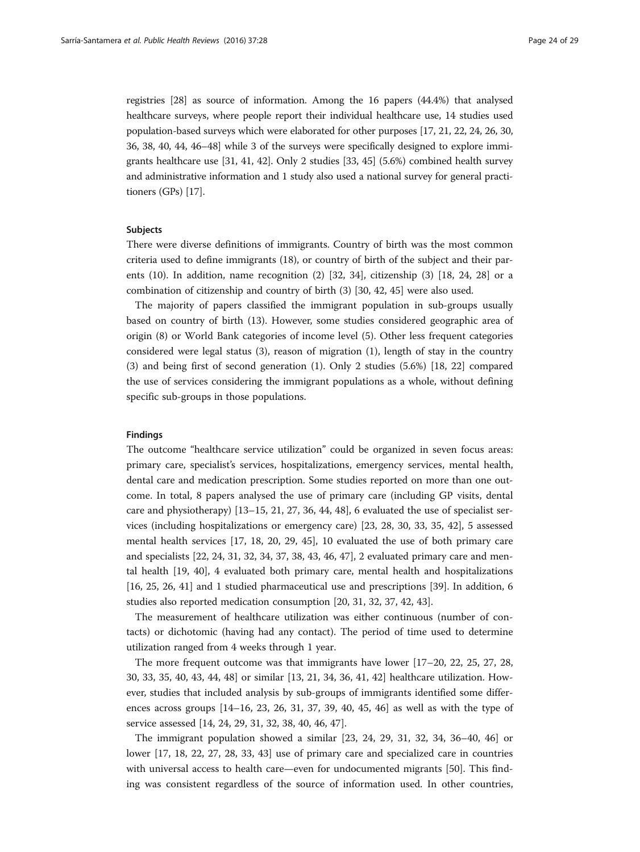registries [\[28](#page-27-0)] as source of information. Among the 16 papers (44.4%) that analysed healthcare surveys, where people report their individual healthcare use, 14 studies used population-based surveys which were elaborated for other purposes [[17, 21, 22](#page-27-0), [24, 26](#page-27-0), [30](#page-27-0), [36](#page-28-0), [38](#page-28-0), [40](#page-28-0), [44](#page-28-0), [46](#page-28-0)–[48\]](#page-28-0) while 3 of the surveys were specifically designed to explore immigrants healthcare use [\[31](#page-27-0), [41](#page-28-0), [42\]](#page-28-0). Only 2 studies [\[33, 45\]](#page-28-0) (5.6%) combined health survey and administrative information and 1 study also used a national survey for general practitioners (GPs) [[17](#page-27-0)].

#### Subjects

There were diverse definitions of immigrants. Country of birth was the most common criteria used to define immigrants (18), or country of birth of the subject and their parents (10). In addition, name recognition (2) [\[32](#page-28-0), [34](#page-28-0)], citizenship (3) [\[18, 24, 28](#page-27-0)] or a combination of citizenship and country of birth (3) [\[30](#page-27-0), [42, 45\]](#page-28-0) were also used.

The majority of papers classified the immigrant population in sub-groups usually based on country of birth (13). However, some studies considered geographic area of origin (8) or World Bank categories of income level (5). Other less frequent categories considered were legal status (3), reason of migration (1), length of stay in the country (3) and being first of second generation (1). Only 2 studies (5.6%) [\[18](#page-27-0), [22\]](#page-27-0) compared the use of services considering the immigrant populations as a whole, without defining specific sub-groups in those populations.

### Findings

The outcome "healthcare service utilization" could be organized in seven focus areas: primary care, specialist's services, hospitalizations, emergency services, mental health, dental care and medication prescription. Some studies reported on more than one outcome. In total, 8 papers analysed the use of primary care (including GP visits, dental care and physiotherapy) [[13](#page-27-0)–[15](#page-27-0), [21](#page-27-0), [27](#page-27-0), [36, 44, 48\]](#page-28-0), 6 evaluated the use of specialist services (including hospitalizations or emergency care) [\[23](#page-27-0), [28, 30](#page-27-0), [33, 35](#page-28-0), [42\]](#page-28-0), 5 assessed mental health services [[17](#page-27-0), [18](#page-27-0), [20](#page-27-0), [29,](#page-27-0) [45\]](#page-28-0), 10 evaluated the use of both primary care and specialists [\[22](#page-27-0), [24](#page-27-0), [31,](#page-27-0) [32, 34, 37, 38](#page-28-0), [43](#page-28-0), [46](#page-28-0), [47](#page-28-0)], 2 evaluated primary care and mental health [\[19](#page-27-0), [40](#page-28-0)], 4 evaluated both primary care, mental health and hospitalizations [[16, 25, 26](#page-27-0), [41\]](#page-28-0) and 1 studied pharmaceutical use and prescriptions [\[39\]](#page-28-0). In addition, 6 studies also reported medication consumption [[20](#page-27-0), [31](#page-27-0), [32](#page-28-0), [37](#page-28-0), [42, 43\]](#page-28-0).

The measurement of healthcare utilization was either continuous (number of contacts) or dichotomic (having had any contact). The period of time used to determine utilization ranged from 4 weeks through 1 year.

The more frequent outcome was that immigrants have lower [[17](#page-27-0)–[20](#page-27-0), [22, 25](#page-27-0), [27, 28](#page-27-0), [30](#page-27-0), [33, 35, 40, 43](#page-28-0), [44](#page-28-0), [48](#page-28-0)] or similar [[13, 21,](#page-27-0) [34, 36](#page-28-0), [41](#page-28-0), [42](#page-28-0)] healthcare utilization. However, studies that included analysis by sub-groups of immigrants identified some differences across groups [[14](#page-27-0)–[16](#page-27-0), [23, 26, 31](#page-27-0), [37](#page-28-0), [39, 40, 45](#page-28-0), [46](#page-28-0)] as well as with the type of service assessed [\[14](#page-27-0), [24](#page-27-0), [29, 31,](#page-27-0) [32, 38, 40, 46, 47](#page-28-0)].

The immigrant population showed a similar [\[23, 24](#page-27-0), [29, 31](#page-27-0), [32](#page-28-0), [34, 36](#page-28-0)–[40, 46](#page-28-0)] or lower [[17, 18](#page-27-0), [22, 27](#page-27-0), [28,](#page-27-0) [33, 43](#page-28-0)] use of primary care and specialized care in countries with universal access to health care—even for undocumented migrants [\[50\]](#page-28-0). This finding was consistent regardless of the source of information used. In other countries,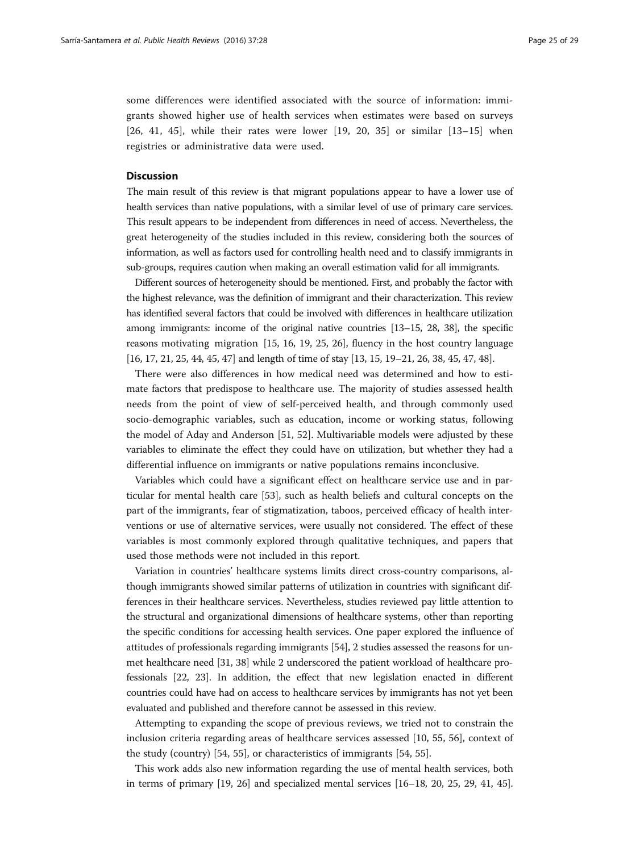some differences were identified associated with the source of information: immigrants showed higher use of health services when estimates were based on surveys [[26,](#page-27-0) [41, 45\]](#page-28-0), while their rates were lower [[19, 20,](#page-27-0) [35\]](#page-28-0) or similar [\[13](#page-27-0)–[15](#page-27-0)] when registries or administrative data were used.

#### **Discussion**

The main result of this review is that migrant populations appear to have a lower use of health services than native populations, with a similar level of use of primary care services. This result appears to be independent from differences in need of access. Nevertheless, the great heterogeneity of the studies included in this review, considering both the sources of information, as well as factors used for controlling health need and to classify immigrants in sub-groups, requires caution when making an overall estimation valid for all immigrants.

Different sources of heterogeneity should be mentioned. First, and probably the factor with the highest relevance, was the definition of immigrant and their characterization. This review has identified several factors that could be involved with differences in healthcare utilization among immigrants: income of the original native countries [[13](#page-27-0)–[15](#page-27-0), [28,](#page-27-0) [38\]](#page-28-0), the specific reasons motivating migration [\[15, 16](#page-27-0), [19](#page-27-0), [25, 26\]](#page-27-0), fluency in the host country language [[16](#page-27-0), [17, 21](#page-27-0), [25](#page-27-0), [44, 45](#page-28-0), [47](#page-28-0)] and length of time of stay [[13](#page-27-0), [15, 19](#page-27-0)–[21, 26,](#page-27-0) [38](#page-28-0), [45, 47, 48](#page-28-0)].

There were also differences in how medical need was determined and how to estimate factors that predispose to healthcare use. The majority of studies assessed health needs from the point of view of self-perceived health, and through commonly used socio-demographic variables, such as education, income or working status, following the model of Aday and Anderson [[51](#page-28-0), [52](#page-28-0)]. Multivariable models were adjusted by these variables to eliminate the effect they could have on utilization, but whether they had a differential influence on immigrants or native populations remains inconclusive.

Variables which could have a significant effect on healthcare service use and in particular for mental health care [[53](#page-28-0)], such as health beliefs and cultural concepts on the part of the immigrants, fear of stigmatization, taboos, perceived efficacy of health interventions or use of alternative services, were usually not considered. The effect of these variables is most commonly explored through qualitative techniques, and papers that used those methods were not included in this report.

Variation in countries' healthcare systems limits direct cross-country comparisons, although immigrants showed similar patterns of utilization in countries with significant differences in their healthcare services. Nevertheless, studies reviewed pay little attention to the structural and organizational dimensions of healthcare systems, other than reporting the specific conditions for accessing health services. One paper explored the influence of attitudes of professionals regarding immigrants [\[54\]](#page-28-0), 2 studies assessed the reasons for unmet healthcare need [\[31,](#page-27-0) [38](#page-28-0)] while 2 underscored the patient workload of healthcare professionals [\[22, 23\]](#page-27-0). In addition, the effect that new legislation enacted in different countries could have had on access to healthcare services by immigrants has not yet been evaluated and published and therefore cannot be assessed in this review.

Attempting to expanding the scope of previous reviews, we tried not to constrain the inclusion criteria regarding areas of healthcare services assessed [\[10](#page-27-0), [55](#page-28-0), [56\]](#page-28-0), context of the study (country) [\[54, 55\]](#page-28-0), or characteristics of immigrants [[54](#page-28-0), [55](#page-28-0)].

This work adds also new information regarding the use of mental health services, both in terms of primary  $[19, 26]$  $[19, 26]$  and specialized mental services  $[16–18, 20, 25, 29, 41, 45]$  $[16–18, 20, 25, 29, 41, 45]$  $[16–18, 20, 25, 29, 41, 45]$  $[16–18, 20, 25, 29, 41, 45]$  $[16–18, 20, 25, 29, 41, 45]$  $[16–18, 20, 25, 29, 41, 45]$  $[16–18, 20, 25, 29, 41, 45]$  $[16–18, 20, 25, 29, 41, 45]$  $[16–18, 20, 25, 29, 41, 45]$  $[16–18, 20, 25, 29, 41, 45]$  $[16–18, 20, 25, 29, 41, 45]$  $[16–18, 20, 25, 29, 41, 45]$ .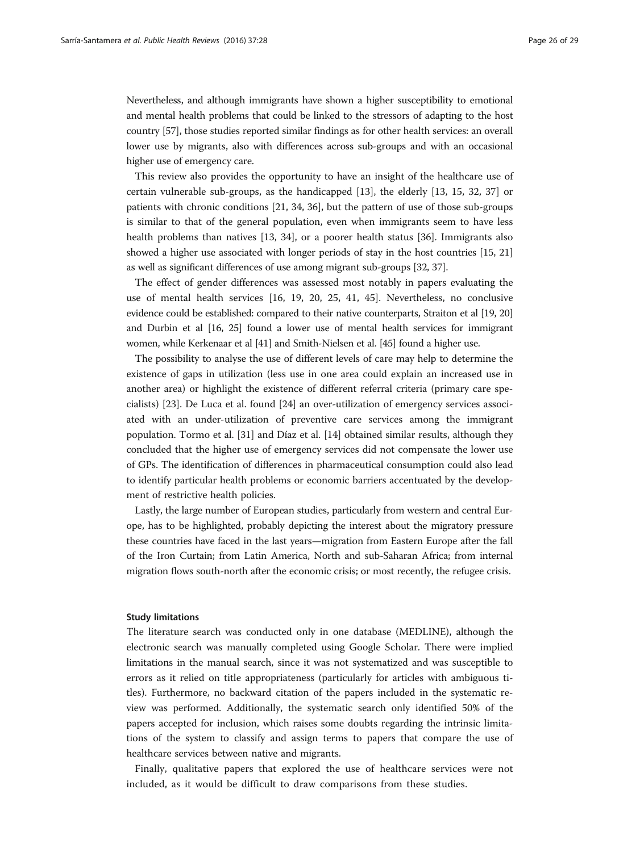Nevertheless, and although immigrants have shown a higher susceptibility to emotional and mental health problems that could be linked to the stressors of adapting to the host country [\[57\]](#page-28-0), those studies reported similar findings as for other health services: an overall lower use by migrants, also with differences across sub-groups and with an occasional higher use of emergency care.

This review also provides the opportunity to have an insight of the healthcare use of certain vulnerable sub-groups, as the handicapped [[13\]](#page-27-0), the elderly [[13, 15](#page-27-0), [32](#page-28-0), [37\]](#page-28-0) or patients with chronic conditions [\[21](#page-27-0), [34, 36\]](#page-28-0), but the pattern of use of those sub-groups is similar to that of the general population, even when immigrants seem to have less health problems than natives [[13,](#page-27-0) [34](#page-28-0)], or a poorer health status [[36](#page-28-0)]. Immigrants also showed a higher use associated with longer periods of stay in the host countries [[15](#page-27-0), [21](#page-27-0)] as well as significant differences of use among migrant sub-groups [[32, 37\]](#page-28-0).

The effect of gender differences was assessed most notably in papers evaluating the use of mental health services [[16](#page-27-0), [19, 20, 25,](#page-27-0) [41](#page-28-0), [45](#page-28-0)]. Nevertheless, no conclusive evidence could be established: compared to their native counterparts, Straiton et al [[19](#page-27-0), [20](#page-27-0)] and Durbin et al [\[16](#page-27-0), [25](#page-27-0)] found a lower use of mental health services for immigrant women, while Kerkenaar et al [\[41\]](#page-28-0) and Smith-Nielsen et al. [\[45\]](#page-28-0) found a higher use.

The possibility to analyse the use of different levels of care may help to determine the existence of gaps in utilization (less use in one area could explain an increased use in another area) or highlight the existence of different referral criteria (primary care specialists) [\[23](#page-27-0)]. De Luca et al. found [[24\]](#page-27-0) an over-utilization of emergency services associated with an under-utilization of preventive care services among the immigrant population. Tormo et al. [[31\]](#page-27-0) and Díaz et al. [[14\]](#page-27-0) obtained similar results, although they concluded that the higher use of emergency services did not compensate the lower use of GPs. The identification of differences in pharmaceutical consumption could also lead to identify particular health problems or economic barriers accentuated by the development of restrictive health policies.

Lastly, the large number of European studies, particularly from western and central Europe, has to be highlighted, probably depicting the interest about the migratory pressure these countries have faced in the last years—migration from Eastern Europe after the fall of the Iron Curtain; from Latin America, North and sub-Saharan Africa; from internal migration flows south-north after the economic crisis; or most recently, the refugee crisis.

#### Study limitations

The literature search was conducted only in one database (MEDLINE), although the electronic search was manually completed using Google Scholar. There were implied limitations in the manual search, since it was not systematized and was susceptible to errors as it relied on title appropriateness (particularly for articles with ambiguous titles). Furthermore, no backward citation of the papers included in the systematic review was performed. Additionally, the systematic search only identified 50% of the papers accepted for inclusion, which raises some doubts regarding the intrinsic limitations of the system to classify and assign terms to papers that compare the use of healthcare services between native and migrants.

Finally, qualitative papers that explored the use of healthcare services were not included, as it would be difficult to draw comparisons from these studies.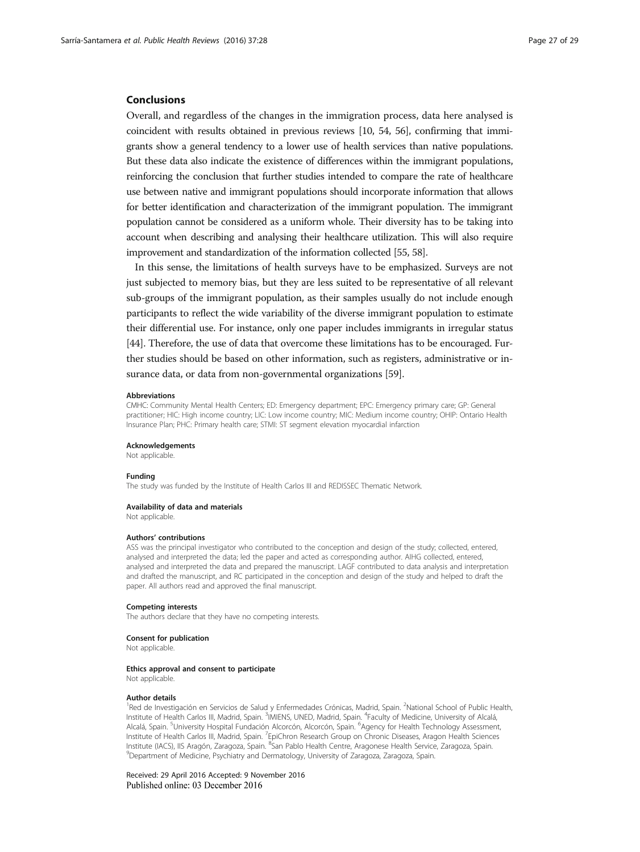#### Conclusions

Overall, and regardless of the changes in the immigration process, data here analysed is coincident with results obtained in previous reviews [\[10,](#page-27-0) [54, 56](#page-28-0)], confirming that immigrants show a general tendency to a lower use of health services than native populations. But these data also indicate the existence of differences within the immigrant populations, reinforcing the conclusion that further studies intended to compare the rate of healthcare use between native and immigrant populations should incorporate information that allows for better identification and characterization of the immigrant population. The immigrant population cannot be considered as a uniform whole. Their diversity has to be taking into account when describing and analysing their healthcare utilization. This will also require improvement and standardization of the information collected [\[55](#page-28-0), [58](#page-28-0)].

In this sense, the limitations of health surveys have to be emphasized. Surveys are not just subjected to memory bias, but they are less suited to be representative of all relevant sub-groups of the immigrant population, as their samples usually do not include enough participants to reflect the wide variability of the diverse immigrant population to estimate their differential use. For instance, only one paper includes immigrants in irregular status [[44](#page-28-0)]. Therefore, the use of data that overcome these limitations has to be encouraged. Further studies should be based on other information, such as registers, administrative or insurance data, or data from non-governmental organizations [[59](#page-28-0)].

#### Abbreviations

CMHC: Community Mental Health Centers; ED: Emergency department; EPC: Emergency primary care; GP: General practitioner; HIC: High income country; LIC: Low income country; MIC: Medium income country; OHIP: Ontario Health Insurance Plan; PHC: Primary health care; STMI: ST segment elevation myocardial infarction

#### Acknowledgements

Not applicable.

#### Funding

The study was funded by the Institute of Health Carlos III and REDISSEC Thematic Network.

#### Availability of data and materials

Not applicable.

#### Authors' contributions

ASS was the principal investigator who contributed to the conception and design of the study; collected, entered, analysed and interpreted the data; led the paper and acted as corresponding author. AIHG collected, entered, analysed and interpreted the data and prepared the manuscript. LAGF contributed to data analysis and interpretation and drafted the manuscript, and RC participated in the conception and design of the study and helped to draft the paper. All authors read and approved the final manuscript.

#### Competing interests

The authors declare that they have no competing interests.

#### Consent for publication

Not applicable.

#### Ethics approval and consent to participate

Not applicable.

#### Author details

<sup>1</sup>Red de Investigación en Servicios de Salud y Enfermedades Crónicas, Madrid, Spain. <sup>2</sup>National School of Public Health, Institute of Health Carlos III, Madrid, Spain. <sup>3</sup>IMIENS, UNED, Madrid, Spain. <sup>4</sup>Faculty of Medicine, University of Alcalá, Alcalá, Spain. <sup>5</sup>University Hospital Fundación Alcorcón, Alcorcón, Spain. <sup>6</sup>Agency for Health Technology Assessment, Institute of Health Carlos III, Madrid, Spain. <sup>7</sup>EpiChron Research Group on Chronic Diseases, Aragon Health Sciences Institute (IACS), IIS Aragón, Zaragoza, Spain. <sup>8</sup>San Pablo Health Centre, Aragonese Health Service, Zaragoza, Spain.<br><sup>9</sup>Denartment of Medicine, Psychiatry and Dermatology, University of Zaragoza, Zaragoza, Spain. Department of Medicine, Psychiatry and Dermatology, University of Zaragoza, Zaragoza, Spain.

Received: 29 April 2016 Accepted: 9 November 2016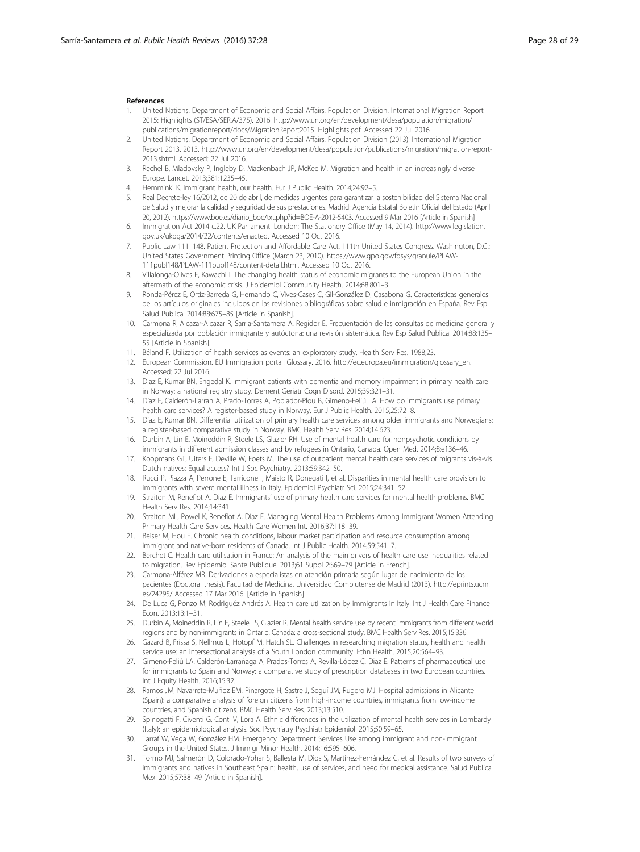#### <span id="page-27-0"></span>**References**

- 1. United Nations, Department of Economic and Social Affairs, Population Division. International Migration Report 2015: Highlights (ST/ESA/SER.A/375). 2016. [http://www.un.org/en/development/desa/population/migration/](http://www.un.org/en/development/desa/population/migration/publications/migrationreport/docs/MigrationReport2015_Highlights.pdf) [publications/migrationreport/docs/MigrationReport2015\\_Highlights.pdf.](http://www.un.org/en/development/desa/population/migration/publications/migrationreport/docs/MigrationReport2015_Highlights.pdf) Accessed 22 Jul 2016
- 2. United Nations, Department of Economic and Social Affairs, Population Division (2013). International Migration Report 2013. 2013. [http://www.un.org/en/development/desa/population/publications/migration/migration-report-](http://www.un.org/en/development/desa/population/publications/migration/migration-report-2013.shtml)[2013.shtml](http://www.un.org/en/development/desa/population/publications/migration/migration-report-2013.shtml). Accessed: 22 Jul 2016.
- 3. Rechel B, Mladovsky P, Ingleby D, Mackenbach JP, McKee M. Migration and health in an increasingly diverse Europe. Lancet. 2013;381:1235–45.
- 4. Hemminki K. Immigrant health, our health. Eur J Public Health. 2014;24:92–5.
- 5. Real Decreto-ley 16/2012, de 20 de abril, de medidas urgentes para garantizar la sostenibilidad del Sistema Nacional de Salud y mejorar la calidad y seguridad de sus prestaciones. Madrid: Agencia Estatal Boletín Oficial del Estado (April 20, 2012). [https://www.boe.es/diario\\_boe/txt.php?id=BOE-A-2012-5403.](https://www.boe.es/diario_boe/txt.php?id=BOE-A-2012-5403) Accessed 9 Mar 2016 [Article in Spanish]
- 6. Immigration Act 2014 c.22. UK Parliament. London: The Stationery Office (May 14, 2014). [http://www.legislation.](http://www.legislation.gov.uk/ukpga/2014/22/contents/enacted) [gov.uk/ukpga/2014/22/contents/enacted](http://www.legislation.gov.uk/ukpga/2014/22/contents/enacted). Accessed 10 Oct 2016.
- 7. Public Law 111–148. Patient Protection and Affordable Care Act. 111th United States Congress. Washington, D.C.: United States Government Printing Office (March 23, 2010). [https://www.gpo.gov/fdsys/granule/PLAW-](https://www.gpo.gov/fdsys/granule/PLAW-111publ148/PLAW-111publ148/content-detail.html)[111publ148/PLAW-111publ148/content-detail.html](https://www.gpo.gov/fdsys/granule/PLAW-111publ148/PLAW-111publ148/content-detail.html). Accessed 10 Oct 2016.
- 8. Villalonga-Olives E, Kawachi I. The changing health status of economic migrants to the European Union in the aftermath of the economic crisis. J Epidemiol Community Health. 2014;68:801–3.
- 9. Ronda-Pérez E, Ortiz-Barreda G, Hernando C, Vives-Cases C, Gil-González D, Casabona G. Características generales de los artículos originales incluidos en las revisiones bibliográficas sobre salud e inmigración en España. Rev Esp Salud Publica. 2014;88:675–85 [Article in Spanish].
- 10. Carmona R, Alcazar-Alcazar R, Sarria-Santamera A, Regidor E. Frecuentación de las consultas de medicina general y especializada por población inmigrante y autóctona: una revisión sistemática. Rev Esp Salud Publica. 2014;88:135– 55 [Article in Spanish].
- Béland F. Utilization of health services as events: an exploratory study. Health Serv Res. 1988;23.
- 12. European Commission. EU Immigration portal. Glossary. 2016. [http://ec.europa.eu/immigration/glossary\\_en.](http://ec.europa.eu/immigration/glossary_en) Accessed: 22 Jul 2016.
- 13. Diaz E, Kumar BN, Engedal K. Immigrant patients with dementia and memory impairment in primary health care in Norway: a national registry study. Dement Geriatr Cogn Disord. 2015;39:321–31.
- 14. Díaz E, Calderón-Larran A, Prado-Torres A, Poblador-Plou B, Gimeno-Feliú LA. How do immigrants use primary health care services? A register-based study in Norway. Eur J Public Health. 2015;25:72–8.
- 15. Diaz E, Kumar BN. Differential utilization of primary health care services among older immigrants and Norwegians: a register-based comparative study in Norway. BMC Health Serv Res. 2014;14:623.
- 16. Durbin A, Lin E, Moineddin R, Steele LS, Glazier RH. Use of mental health care for nonpsychotic conditions by immigrants in different admission classes and by refugees in Ontario, Canada. Open Med. 2014;8:e136–46.
- 17. Koopmans GT, Uiters E, Deville W, Foets M. The use of outpatient mental health care services of migrants vis-à-vis Dutch natives: Equal access? Int J Soc Psychiatry. 2013;59:342–50.
- 18. Rucci P, Piazza A, Perrone E, Tarricone I, Maisto R, Donegati I, et al. Disparities in mental health care provision to immigrants with severe mental illness in Italy. Epidemiol Psychiatr Sci. 2015;24:341–52.
- 19. Straiton M, Reneflot A, Diaz E. Immigrants' use of primary health care services for mental health problems. BMC Health Serv Res. 2014;14:341.
- 20. Straiton ML, Powel K, Reneflot A, Diaz E. Managing Mental Health Problems Among Immigrant Women Attending Primary Health Care Services. Health Care Women Int. 2016;37:118–39.
- 21. Beiser M, Hou F. Chronic health conditions, labour market participation and resource consumption among immigrant and native-born residents of Canada. Int J Public Health. 2014;59:541–7.
- 22. Berchet C. Health care utilisation in France: An analysis of the main drivers of health care use inequalities related to migration. Rev Epidemiol Sante Publique. 2013;61 Suppl 2:S69–79 [Article in French].
- 23. Carmona-Alférez MR. Derivaciones a especialistas en atención primaria según lugar de nacimiento de los pacientes (Doctoral thesis). Facultad de Medicina. Universidad Complutense de Madrid (2013). [http://eprints.ucm.](http://eprints.ucm.es/24295/) [es/24295/](http://eprints.ucm.es/24295/) Accessed 17 Mar 2016. [Article in Spanish]
- 24. De Luca G, Ponzo M, Rodriguéz Andrés A. Health care utilization by immigrants in Italy. Int J Health Care Finance Econ. 2013;13:1–31.
- 25. Durbin A, Moineddin R, Lin E, Steele LS, Glazier R. Mental health service use by recent immigrants from different world regions and by non-immigrants in Ontario, Canada: a cross-sectional study. BMC Health Serv Res. 2015;15:336.
- 26. Gazard B, Frissa S, Nellmus L, Hotopf M, Hatch SL. Challenges in researching migration status, health and health service use: an intersectional analysis of a South London community. Ethn Health. 2015;20:564–93.
- 27. Gimeno-Feliú LA, Calderón-Larrañaga A, Prados-Torres A, Revilla-López C, Diaz E. Patterns of pharmaceutical use for immigrants to Spain and Norway: a comparative study of prescription databases in two European countries. Int J Equity Health. 2016;15:32.
- 28. Ramos JM, Navarrete-Muñoz EM, Pinargote H, Sastre J, Seguí JM, Rugero MJ. Hospital admissions in Alicante (Spain): a comparative analysis of foreign citizens from high-income countries, immigrants from low-income countries, and Spanish citizens. BMC Health Serv Res. 2013;13:510.
- 29. Spinogatti F, Civenti G, Conti V, Lora A. Ethnic differences in the utilization of mental health services in Lombardy (Italy): an epidemiological analysis. Soc Psychiatry Psychiatr Epidemiol. 2015;50:59–65.
- 30. Tarraf W, Vega W, González HM. Emergency Department Services Use among immigrant and non-immigrant Groups in the United States. J Immigr Minor Health. 2014;16:595–606.
- 31. Tormo MJ, Salmerón D, Colorado-Yohar S, Ballesta M, Dios S, Martínez-Fernández C, et al. Results of two surveys of immigrants and natives in Southeast Spain: health, use of services, and need for medical assistance. Salud Publica Mex. 2015;57:38–49 [Article in Spanish].